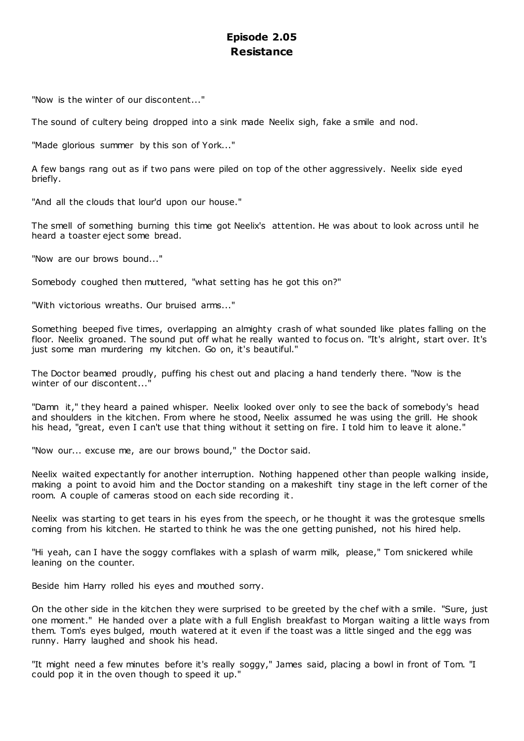# **Episode 2.05 Resistance**

"Now is the winter of our discontent..."

The sound of cultery being dropped into a sink made Neelix sigh, fake a smile and nod.

"Made glorious summer by this son of York..."

A few bangs rang out as if two pans were piled on top of the other aggressively. Neelix side eyed briefly.

"And all the clouds that lour'd upon our house."

The smell of something burning this time got Neelix's attention. He was about to look across until he heard a toaster eject some bread.

"Now are our brows bound..."

Somebody coughed then muttered, "what setting has he got this on?"

"With victorious wreaths. Our bruised arms..."

Something beeped five times, overlapping an almighty crash of what sounded like plates falling on the floor. Neelix groaned. The sound put off what he really wanted to focus on. "It's alright, start over. It's just some man murdering my kitchen. Go on, it's beautiful."

The Doctor beamed proudly, puffing his chest out and placing a hand tenderly there. "Now is the winter of our discontent..."

"Damn it," they heard a pained whisper. Neelix looked over only to see the back of somebody's head and shoulders in the kitchen. From where he stood, Neelix assumed he was using the grill. He shook his head, "great, even I can't use that thing without it setting on fire. I told him to leave it alone."

"Now our... excuse me, are our brows bound," the Doctor said.

Neelix waited expectantly for another interruption. Nothing happened other than people walking inside, making a point to avoid him and the Doctor standing on a makeshift tiny stage in the left corner of the room. A couple of cameras stood on each side recording it.

Neelix was starting to get tears in his eyes from the speech, or he thought it was the grotesque smells coming from his kitchen. He started to think he was the one getting punished, not his hired help.

"Hi yeah, can I have the soggy cornflakes with a splash of warm milk, please," Tom snickered while leaning on the counter.

Beside him Harry rolled his eyes and mouthed sorry.

On the other side in the kitchen they were surprised to be greeted by the chef with a smile. "Sure, just one moment." He handed over a plate with a full English breakfast to Morgan waiting a little ways from them. Tom's eyes bulged, mouth watered at it even if the toast was a little singed and the egg was runny. Harry laughed and shook his head.

"It might need a few minutes before it's really soggy," James said, placing a bowl in front of Tom. "I could pop it in the oven though to speed it up."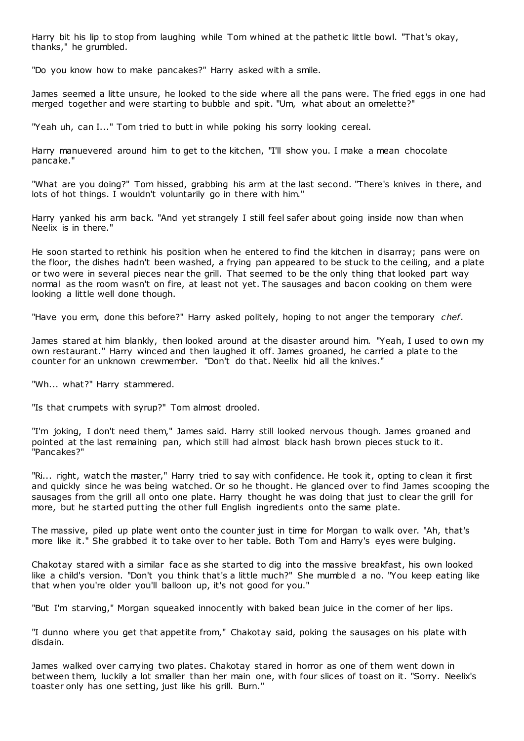Harry bit his lip to stop from laughing while Tom whined at the pathetic little bowl. "That's okay, thanks," he grumbled.

"Do you know how to make pancakes?" Harry asked with a smile.

James seemed a litte unsure, he looked to the side where all the pans were. The fried eggs in one had merged together and were starting to bubble and spit. "Um, what about an omelette?"

"Yeah uh, can I..." Tom tried to butt in while poking his sorry looking cereal.

Harry manuevered around him to get to the kitchen, "I'll show you. I make a mean chocolate pancake."

"What are you doing?" Tom hissed, grabbing his arm at the last second. "There's knives in there, and lots of hot things. I wouldn't voluntarily go in there with him."

Harry yanked his arm back. "And yet strangely I still feel safer about going inside now than when Neelix is in there."

He soon started to rethink his position when he entered to find the kitchen in disarray; pans were on the floor, the dishes hadn't been washed, a frying pan appeared to be stuck to the ceiling, and a plate or two were in several pieces near the grill. That seemed to be the only thing that looked part way normal as the room wasn't on fire, at least not yet. The sausages and bacon cooking on them were looking a little well done though.

"Have you erm, done this before?" Harry asked politely, hoping to not anger the temporary *chef*.

James stared at him blankly, then looked around at the disaster around him. "Yeah, I used to own my own restaurant." Harry winced and then laughed it off. James groaned, he carried a plate to the counter for an unknown crewmember. "Don't do that. Neelix hid all the knives."

"Wh... what?" Harry stammered.

"Is that crumpets with syrup?" Tom almost drooled.

"I'm joking, I don't need them," James said. Harry still looked nervous though. James groaned and pointed at the last remaining pan, which still had almost black hash brown pieces stuck to it. "Pancakes?"

"Ri... right, watch the master," Harry tried to say with confidence. He took it, opting to clean it first and quickly since he was being watched. Or so he thought. He glanced over to find James scooping the sausages from the grill all onto one plate. Harry thought he was doing that just to clear the grill for more, but he started putting the other full English ingredients onto the same plate.

The massive, piled up plate went onto the counter just in time for Morgan to walk over. "Ah, that's more like it." She grabbed it to take over to her table. Both Tom and Harry's eyes were bulging.

Chakotay stared with a similar face as she started to dig into the massive breakfast, his own looked like a child's version. "Don't you think that's a little much?" She mumble d a no. "You keep eating like that when you're older you'll balloon up, it's not good for you."

"But I'm starving," Morgan squeaked innocently with baked bean juice in the corner of her lips.

"I dunno where you get that appetite from," Chakotay said, poking the sausages on his plate with disdain.

James walked over carrying two plates. Chakotay stared in horror as one of them went down in between them, luckily a lot smaller than her main one, with four slices of toast on it. "Sorry. Neelix's toaster only has one setting, just like his grill. Burn."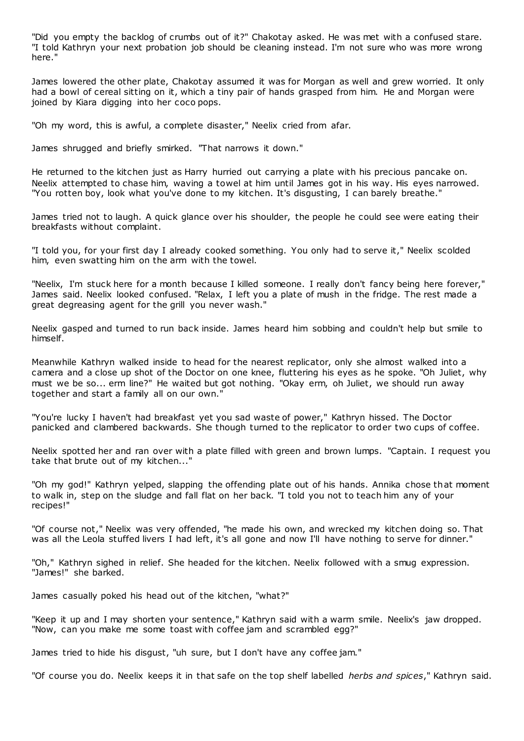"Did you empty the backlog of crumbs out of it?" Chakotay asked. He was met with a confused stare. "I told Kathryn your next probation job should be cleaning instead. I'm not sure who was more wrong here."

James lowered the other plate, Chakotay assumed it was for Morgan as well and grew worried. It only had a bowl of cereal sitting on it, which a tiny pair of hands grasped from him. He and Morgan were joined by Kiara digging into her coco pops.

"Oh my word, this is awful, a complete disaster," Neelix cried from afar.

James shrugged and briefly smirked. "That narrows it down."

He returned to the kitchen just as Harry hurried out carrying a plate with his precious pancake on. Neelix attempted to chase him, waving a towel at him until James got in his way. His eyes narrowed. "You rotten boy, look what you've done to my kitchen. It's disgusting, I can barely breathe."

James tried not to laugh. A quick glance over his shoulder, the people he could see were eating their breakfasts without complaint.

"I told you, for your first day I already cooked something. You only had to serve it," Neelix scolded him, even swatting him on the arm with the towel.

"Neelix, I'm stuck here for a month because I killed someone. I really don't fancy being here forever," James said. Neelix looked confused. "Relax, I left you a plate of mush in the fridge. The rest made a great degreasing agent for the grill you never wash."

Neelix gasped and turned to run back inside. James heard him sobbing and couldn't help but smile to himself.

Meanwhile Kathryn walked inside to head for the nearest replicator, only she almost walked into a camera and a close up shot of the Doctor on one knee, fluttering his eyes as he spoke. "Oh Juliet, why must we be so... erm line?" He waited but got nothing. "Okay erm, oh Juliet, we should run away together and start a family all on our own."

"You're lucky I haven't had breakfast yet you sad waste of power," Kathryn hissed. The Doctor panicked and clambered backwards. She though turned to the replicator to order two cups of coffee.

Neelix spotted her and ran over with a plate filled with green and brown lumps. "Captain. I request you take that brute out of my kitchen..."

"Oh my god!" Kathryn yelped, slapping the offending plate out of his hands. Annika chose that moment to walk in, step on the sludge and fall flat on her back. "I told you not to teach him any of your recipes!"

"Of course not," Neelix was very offended, "he made his own, and wrecked my kitchen doing so. That was all the Leola stuffed livers I had left, it's all gone and now I'll have nothing to serve for dinner."

"Oh," Kathryn sighed in relief. She headed for the kitchen. Neelix followed with a smug expression. "James!" she barked.

James casually poked his head out of the kitchen, "what?"

"Keep it up and I may shorten your sentence," Kathryn said with a warm smile. Neelix's jaw dropped. "Now, can you make me some toast with coffee jam and scrambled egg?"

James tried to hide his disgust, "uh sure, but I don't have any coffee jam."

"Of course you do. Neelix keeps it in that safe on the top shelf labelled *herbs and spices*," Kathryn said.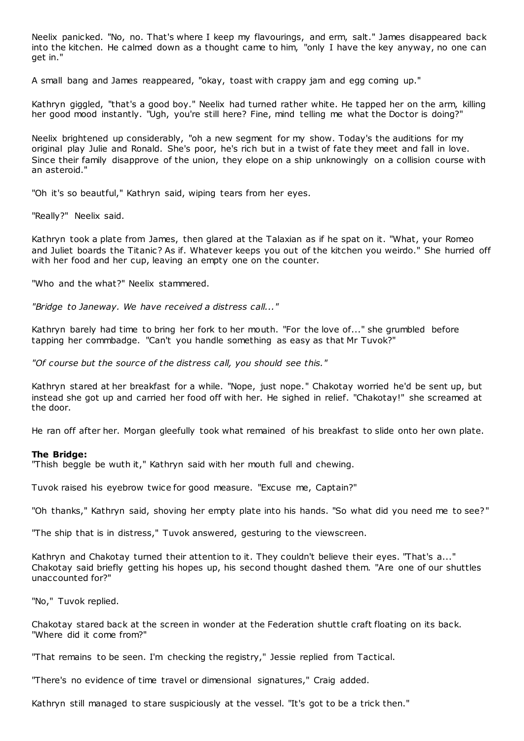Neelix panicked. "No, no. That's where I keep my flavourings, and erm, salt." James disappeared back into the kitchen. He calmed down as a thought came to him, "only I have the key anyway, no one can get in."

A small bang and James reappeared, "okay, toast with crappy jam and egg coming up."

Kathryn giggled, "that's a good boy." Neelix had turned rather white. He tapped her on the arm, killing her good mood instantly. "Ugh, you're still here? Fine, mind telling me what the Doctor is doing?"

Neelix brightened up considerably, "oh a new segment for my show. Today's the auditions for my original play Julie and Ronald. She's poor, he's rich but in a twist of fate they meet and fall in love. Since their family disapprove of the union, they elope on a ship unknowingly on a collision course with an asteroid."

"Oh it's so beautful," Kathryn said, wiping tears from her eyes.

"Really?" Neelix said.

Kathryn took a plate from James, then glared at the Talaxian as if he spat on it. "What, your Romeo and Juliet boards the Titanic? As if. Whatever keeps you out of the kitchen you weirdo." She hurried off with her food and her cup, leaving an empty one on the counter.

"Who and the what?" Neelix stammered.

*"Bridge to Janeway. We have received a distress call..."*

Kathryn barely had time to bring her fork to her mouth. "For the love of..." she grumbled before tapping her commbadge. "Can't you handle something as easy as that Mr Tuvok?"

*"Of course but the source of the distress call, you should see this."*

Kathryn stared at her breakfast for a while. "Nope, just nope." Chakotay worried he'd be sent up, but instead she got up and carried her food off with her. He sighed in relief. "Chakotay!" she screamed at the door.

He ran off after her. Morgan gleefully took what remained of his breakfast to slide onto her own plate.

#### **The Bridge:**

"Thish beggle be wuth it," Kathryn said with her mouth full and chewing.

Tuvok raised his eyebrow twice for good measure. "Excuse me, Captain?"

"Oh thanks," Kathryn said, shoving her empty plate into his hands. "So what did you need me to see?"

"The ship that is in distress," Tuvok answered, gesturing to the viewscreen.

Kathryn and Chakotay turned their attention to it. They couldn't believe their eyes. "That's a..." Chakotay said briefly getting his hopes up, his second thought dashed them. "Are one of our shuttles unaccounted for?"

"No," Tuvok replied.

Chakotay stared back at the screen in wonder at the Federation shuttle craft floating on its back. "Where did it come from?"

"That remains to be seen. I'm checking the registry," Jessie replied from Tactical.

"There's no evidence of time travel or dimensional signatures," Craig added.

Kathryn still managed to stare suspiciously at the vessel. "It's got to be a trick then."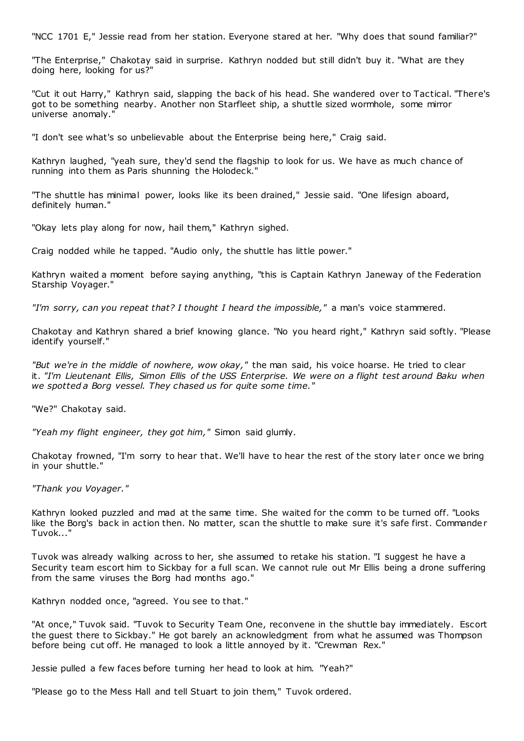"NCC 1701 E," Jessie read from her station. Everyone stared at her. "Why does that sound familiar?"

"The Enterprise," Chakotay said in surprise. Kathryn nodded but still didn't buy it. "What are they doing here, looking for us?"

"Cut it out Harry," Kathryn said, slapping the back of his head. She wandered over to Tactical. "There's got to be something nearby. Another non Starfleet ship, a shuttle sized wormhole, some mirror universe anomaly."

"I don't see what's so unbelievable about the Enterprise being here," Craig said.

Kathryn laughed, "yeah sure, they'd send the flagship to look for us. We have as much chance of running into them as Paris shunning the Holodeck."

"The shuttle has minimal power, looks like its been drained," Jessie said. "One lifesign aboard, definitely human."

"Okay lets play along for now, hail them," Kathryn sighed.

Craig nodded while he tapped. "Audio only, the shuttle has little power."

Kathryn waited a moment before saying anything, "this is Captain Kathryn Janeway of the Federation Starship Voyager."

*"I'm sorry, can you repeat that? I thought I heard the impossible,"* a man's voice stammered.

Chakotay and Kathryn shared a brief knowing glance. "No you heard right," Kathryn said softly. "Please identify yourself."

*"But we're in the middle of nowhere, wow okay,"* the man said, his voice hoarse. He tried to clear it. *"I'm Lieutenant Ellis, Simon Ellis of the USS Enterprise. We were on a flight test around Baku when we spotted a Borg vessel. They chased us for quite some time."*

"We?" Chakotay said.

*"Yeah my flight engineer, they got him,"* Simon said glumly.

Chakotay frowned, "I'm sorry to hear that. We'll have to hear the rest of the story later once we bring in your shuttle."

*"Thank you Voyager."*

Kathryn looked puzzled and mad at the same time. She waited for the comm to be turned off. "Looks like the Borg's back in action then. No matter, scan the shuttle to make sure it's safe first. Commande r Tuvok..."

Tuvok was already walking across to her, she assumed to retake his station. "I suggest he have a Security team escort him to Sickbay for a full scan. We cannot rule out Mr Ellis being a drone suffering from the same viruses the Borg had months ago."

Kathryn nodded once, "agreed. You see to that."

"At once," Tuvok said. "Tuvok to Security Team One, reconvene in the shuttle bay immediately. Escort the guest there to Sickbay." He got barely an acknowledgment from what he assumed was Thompson before being cut off. He managed to look a little annoyed by it. "Crewman Rex."

Jessie pulled a few faces before turning her head to look at him. "Yeah?"

"Please go to the Mess Hall and tell Stuart to join them," Tuvok ordered.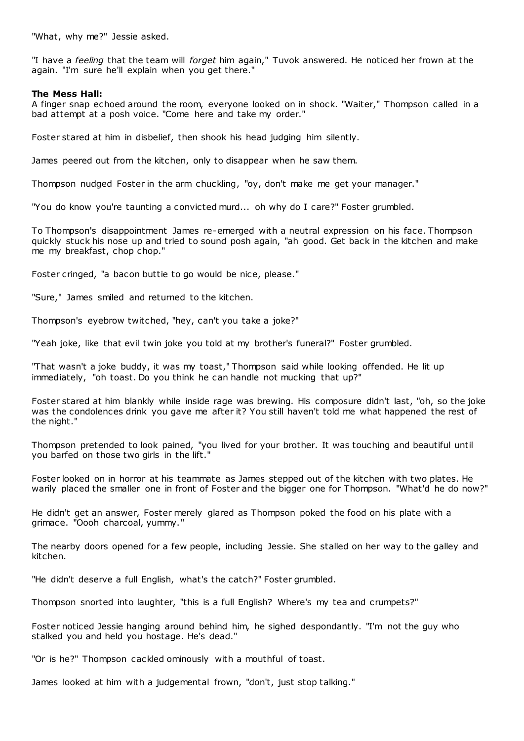"What, why me?" Jessie asked.

"I have a *feeling* that the team will *forget* him again," Tuvok answered. He noticed her frown at the again. "I'm sure he'll explain when you get there."

## **The Mess Hall:**

A finger snap echoed around the room, everyone looked on in shock. "Waiter," Thompson called in a bad attempt at a posh voice. "Come here and take my order."

Foster stared at him in disbelief, then shook his head judging him silently.

James peered out from the kitchen, only to disappear when he saw them.

Thompson nudged Foster in the arm chuckling, "oy, don't make me get your manager."

"You do know you're taunting a convicted murd... oh why do I care?" Foster grumbled.

To Thompson's disappointment James re-emerged with a neutral expression on his face. Thompson quickly stuck his nose up and tried to sound posh again, "ah good. Get back in the kitchen and make me my breakfast, chop chop."

Foster cringed, "a bacon buttie to go would be nice, please."

"Sure," James smiled and returned to the kitchen.

Thompson's eyebrow twitched, "hey, can't you take a joke?"

"Yeah joke, like that evil twin joke you told at my brother's funeral?" Foster grumbled.

"That wasn't a joke buddy, it was my toast," Thompson said while looking offended. He lit up immediately, "oh toast. Do you think he can handle not mucking that up?"

Foster stared at him blankly while inside rage was brewing. His composure didn't last, "oh, so the joke was the condolences drink you gave me after it? You still haven't told me what happened the rest of the night."

Thompson pretended to look pained, "you lived for your brother. It was touching and beautiful until you barfed on those two girls in the lift."

Foster looked on in horror at his teammate as James stepped out of the kitchen with two plates. He warily placed the smaller one in front of Foster and the bigger one for Thompson. "What'd he do now?"

He didn't get an answer, Foster merely glared as Thompson poked the food on his plate with a grimace. "Oooh charcoal, yummy."

The nearby doors opened for a few people, including Jessie. She stalled on her way to the galley and kitchen.

"He didn't deserve a full English, what's the catch?" Foster grumbled.

Thompson snorted into laughter, "this is a full English? Where's my tea and crumpets?"

Foster noticed Jessie hanging around behind him, he sighed despondantly. "I'm not the guy who stalked you and held you hostage. He's dead."

"Or is he?" Thompson cackled ominously with a mouthful of toast.

James looked at him with a judgemental frown, "don't, just stop talking."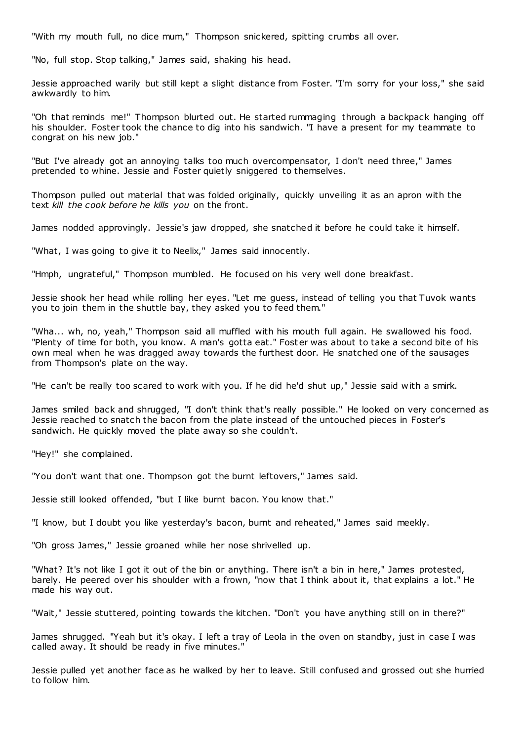"With my mouth full, no dice mum," Thompson snickered, spitting crumbs all over.

"No, full stop. Stop talking," James said, shaking his head.

Jessie approached warily but still kept a slight distance from Foster. "I'm sorry for your loss," she said awkwardly to him.

"Oh that reminds me!" Thompson blurted out. He started rummaging through a backpack hanging off his shoulder. Foster took the chance to dig into his sandwich. "I have a present for my teammate to congrat on his new job."

"But I've already got an annoying talks too much overcompensator, I don't need three," James pretended to whine. Jessie and Foster quietly sniggered to themselves.

Thompson pulled out material that was folded originally, quickly unveiling it as an apron with the text *kill the cook before he kills you* on the front.

James nodded approvingly. Jessie's jaw dropped, she snatched it before he could take it himself.

"What, I was going to give it to Neelix," James said innocently.

"Hmph, ungrateful," Thompson mumbled. He focused on his very well done breakfast.

Jessie shook her head while rolling her eyes. "Let me guess, instead of telling you that Tuvok wants you to join them in the shuttle bay, they asked you to feed them."

"Wha... wh, no, yeah," Thompson said all muffled with his mouth full again. He swallowed his food. "Plenty of time for both, you know. A man's gotta eat." Foster was about to take a second bite of his own meal when he was dragged away towards the furthest door. He snatched one of the sausages from Thompson's plate on the way.

"He can't be really too scared to work with you. If he did he'd shut up," Jessie said w ith a smirk.

James smiled back and shrugged, "I don't think that's really possible." He looked on very concerned as Jessie reached to snatch the bacon from the plate instead of the untouched pieces in Foster's sandwich. He quickly moved the plate away so she couldn't.

"Hey!" she complained.

"You don't want that one. Thompson got the burnt leftovers," James said.

Jessie still looked offended, "but I like burnt bacon. You know that."

"I know, but I doubt you like yesterday's bacon, burnt and reheated," James said meekly.

"Oh gross James," Jessie groaned while her nose shrivelled up.

"What? It's not like I got it out of the bin or anything. There isn't a bin in here," James protested, barely. He peered over his shoulder with a frown, "now that I think about it, that explains a lot." He made his way out.

"Wait," Jessie stuttered, pointing towards the kitchen. "Don't you have anything still on in there?"

James shrugged. "Yeah but it's okay. I left a tray of Leola in the oven on standby, just in case I was called away. It should be ready in five minutes."

Jessie pulled yet another face as he walked by her to leave. Still confused and grossed out she hurried to follow him.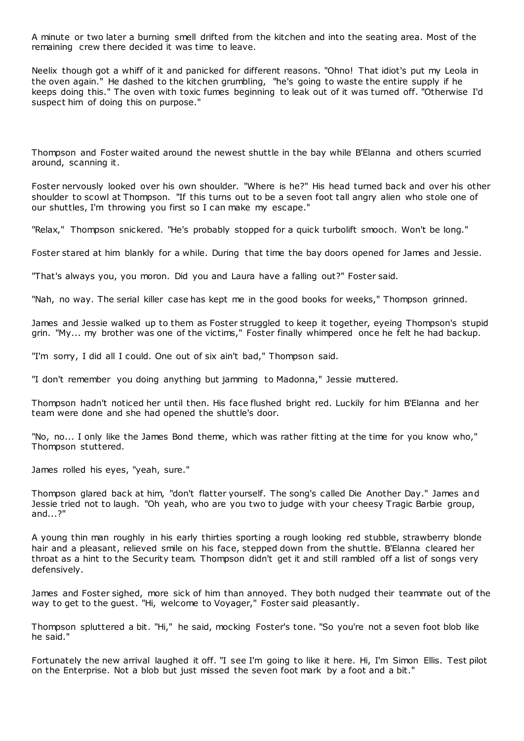A minute or two later a burning smell drifted from the kitchen and into the seating area. Most of the remaining crew there decided it was time to leave.

Neelix though got a whiff of it and panicked for different reasons. "Ohno! That idiot's put my Leola in the oven again." He dashed to the kitchen grumbling, "he's going to waste the entire supply if he keeps doing this." The oven with toxic fumes beginning to leak out of it was turned off. "Otherwise I'd suspect him of doing this on purpose."

Thompson and Foster waited around the newest shuttle in the bay while B'Elanna and others scurried around, scanning it.

Foster nervously looked over his own shoulder. "Where is he?" His head turned back and over his other shoulder to scowl at Thompson. "If this turns out to be a seven foot tall angry alien who stole one of our shuttles, I'm throwing you first so I can make my escape."

"Relax," Thompson snickered. "He's probably stopped for a quick turbolift smooch. Won't be long."

Foster stared at him blankly for a while. During that time the bay doors opened for James and Jessie.

"That's always you, you moron. Did you and Laura have a falling out?" Foster said.

"Nah, no way. The serial killer case has kept me in the good books for weeks," Thompson grinned.

James and Jessie walked up to them as Foster struggled to keep it together, eyeing Thompson's stupid grin. "My... my brother was one of the victims," Foster finally whimpered once he felt he had backup.

"I'm sorry, I did all I could. One out of six ain't bad," Thompson said.

"I don't remember you doing anything but jamming to Madonna," Jessie muttered.

Thompson hadn't noticed her until then. His face flushed bright red. Luckily for him B'Elanna and her team were done and she had opened the shuttle's door.

"No, no... I only like the James Bond theme, which was rather fitting at the time for you know who," Thompson stuttered.

James rolled his eyes, "yeah, sure."

Thompson glared back at him, "don't flatter yourself. The song's called Die Another Day." James and Jessie tried not to laugh. "Oh yeah, who are you two to judge with your cheesy Tragic Barbie group, and...?"

A young thin man roughly in his early thirties sporting a rough looking red stubble, strawberry blonde hair and a pleasant, relieved smile on his face, stepped down from the shuttle. B'Elanna cleared her throat as a hint to the Security team. Thompson didn't get it and still rambled off a list of songs very defensively.

James and Foster sighed, more sick of him than annoyed. They both nudged their teammate out of the way to get to the guest. "Hi, welcome to Voyager," Foster said pleasantly.

Thompson spluttered a bit. "Hi," he said, mocking Foster's tone. "So you're not a seven foot blob like he said."

Fortunately the new arrival laughed it off. "I see I'm going to like it here. Hi, I'm Simon Ellis. Test pilot on the Enterprise. Not a blob but just missed the seven foot mark by a foot and a bit."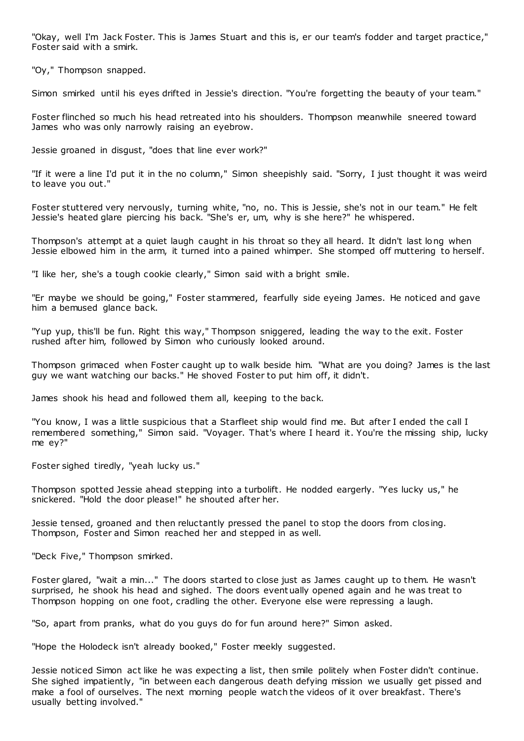"Okay, well I'm Jack Foster. This is James Stuart and this is, er our team's fodder and target practice," Foster said with a smirk.

"Oy," Thompson snapped.

Simon smirked until his eyes drifted in Jessie's direction. "You're forgetting the beauty of your team."

Foster flinched so much his head retreated into his shoulders. Thompson meanwhile sneered toward James who was only narrowly raising an eyebrow.

Jessie groaned in disgust, "does that line ever work?"

"If it were a line I'd put it in the no column," Simon sheepishly said. "Sorry, I just thought it was weird to leave you out."

Foster stuttered very nervously, turning white, "no, no. This is Jessie, she's not in our team." He felt Jessie's heated glare piercing his back. "She's er, um, why is she here?" he whispered.

Thompson's attempt at a quiet laugh caught in his throat so they all heard. It didn't last long when Jessie elbowed him in the arm, it turned into a pained whimper. She stomped off muttering to herself.

"I like her, she's a tough cookie clearly," Simon said with a bright smile.

"Er maybe we should be going," Foster stammered, fearfully side eyeing James. He noticed and gave him a bemused glance back.

"Yup yup, this'll be fun. Right this way," Thompson sniggered, leading the way to the exit. Foster rushed after him, followed by Simon who curiously looked around.

Thompson grimaced when Foster caught up to walk beside him. "What are you doing? James is the last guy we want watching our backs." He shoved Foster to put him off, it didn't.

James shook his head and followed them all, keeping to the back.

"You know, I was a little suspicious that a Starfleet ship would find me. But after I ended the call I remembered something," Simon said. "Voyager. That's where I heard it. You're the missing ship, lucky me ey?"

Foster sighed tiredly, "yeah lucky us."

Thompson spotted Jessie ahead stepping into a turbolift. He nodded eargerly. "Yes lucky us," he snickered. "Hold the door please!" he shouted after her.

Jessie tensed, groaned and then reluctantly pressed the panel to stop the doors from clos ing. Thompson, Foster and Simon reached her and stepped in as well.

"Deck Five," Thompson smirked.

Foster glared, "wait a min..." The doors started to close just as James caught up to them. He wasn't surprised, he shook his head and sighed. The doors eventually opened again and he was treat to Thompson hopping on one foot, cradling the other. Everyone else were repressing a laugh.

"So, apart from pranks, what do you guys do for fun around here?" Simon asked.

"Hope the Holodeck isn't already booked," Foster meekly suggested.

Jessie noticed Simon act like he was expecting a list, then smile politely when Foster didn't continue. She sighed impatiently, "in between each dangerous death defying mission we usually get pissed and make a fool of ourselves. The next morning people watch the videos of it over breakfast. There's usually betting involved."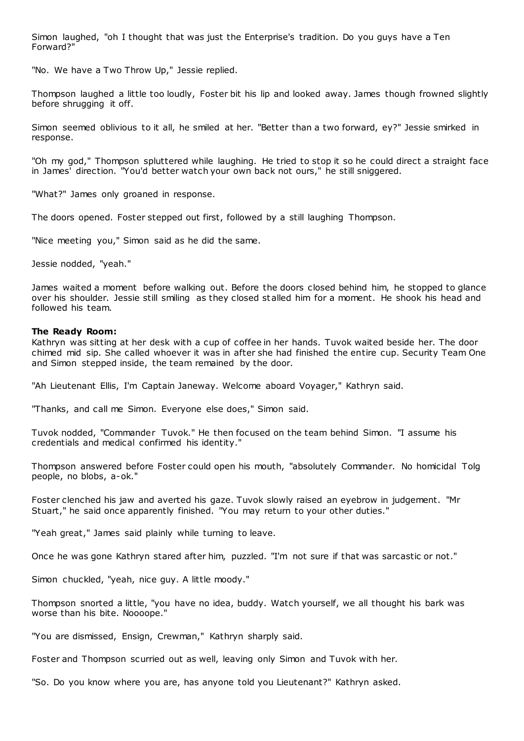Simon laughed, "oh I thought that was just the Enterprise's tradition. Do you guys have a Ten Forward?"

"No. We have a Two Throw Up," Jessie replied.

Thompson laughed a little too loudly, Foster bit his lip and looked away. James though frowned slightly before shrugging it off.

Simon seemed oblivious to it all, he smiled at her. "Better than a two forward, ey?" Jessie smirked in response.

"Oh my god," Thompson spluttered while laughing. He tried to stop it so he could direct a straight face in James' direction. "You'd better watch your own back not ours," he still sniggered.

"What?" James only groaned in response.

The doors opened. Foster stepped out first, followed by a still laughing Thompson.

"Nice meeting you," Simon said as he did the same.

Jessie nodded, "yeah."

James waited a moment before walking out. Before the doors closed behind him, he stopped to glance over his shoulder. Jessie still smiling as they closed stalled him for a moment. He shook his head and followed his team.

## **The Ready Room:**

Kathryn was sitting at her desk with a cup of coffee in her hands. Tuvok waited beside her. The door chimed mid sip. She called whoever it was in after she had finished the entire cup. Security Team One and Simon stepped inside, the team remained by the door.

"Ah Lieutenant Ellis, I'm Captain Janeway. Welcome aboard Voyager," Kathryn said.

"Thanks, and call me Simon. Everyone else does," Simon said.

Tuvok nodded, "Commander Tuvok." He then focused on the team behind Simon. "I assume his credentials and medical confirmed his identity."

Thompson answered before Foster could open his mouth, "absolutely Commander. No homicidal Tolg people, no blobs, a-ok."

Foster clenched his jaw and averted his gaze. Tuvok slowly raised an eyebrow in judgement. "Mr Stuart," he said once apparently finished. "You may return to your other duties."

"Yeah great," James said plainly while turning to leave.

Once he was gone Kathryn stared after him, puzzled. "I'm not sure if that was sarcastic or not."

Simon chuckled, "yeah, nice guy. A little moody."

Thompson snorted a little, "you have no idea, buddy. Watch yourself, we all thought his bark was worse than his bite. Noooope."

"You are dismissed, Ensign, Crewman," Kathryn sharply said.

Foster and Thompson scurried out as well, leaving only Simon and Tuvok with her.

"So. Do you know where you are, has anyone told you Lieutenant?" Kathryn asked.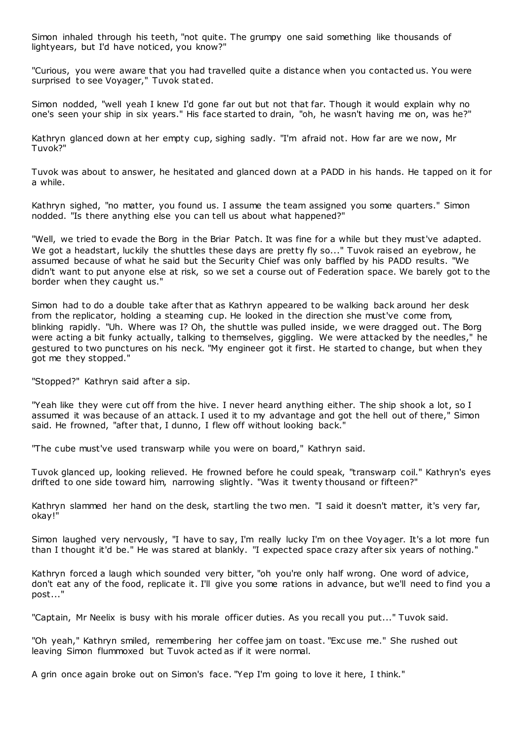Simon inhaled through his teeth, "not quite. The grumpy one said something like thousands of lightyears, but I'd have noticed, you know?"

"Curious, you were aware that you had travelled quite a distance when you contacted us. You were surprised to see Voyager," Tuvok stated.

Simon nodded, "well yeah I knew I'd gone far out but not that far. Though it would explain why no one's seen your ship in six years." His face started to drain, "oh, he wasn't having me on, was he?"

Kathryn glanced down at her empty cup, sighing sadly. "I'm afraid not. How far are we now, Mr Tuvok?"

Tuvok was about to answer, he hesitated and glanced down at a PADD in his hands. He tapped on it for a while.

Kathryn sighed, "no matter, you found us. I assume the team assigned you some quarters." Simon nodded. "Is there anything else you can tell us about what happened?"

"Well, we tried to evade the Borg in the Briar Patch. It was fine for a while but they must've adapted. We got a headstart, luckily the shuttles these days are pretty fly so..." Tuvok raised an eyebrow, he assumed because of what he said but the Security Chief was only baffled by his PADD results. "We didn't want to put anyone else at risk, so we set a course out of Federation space. We barely got to the border when they caught us."

Simon had to do a double take after that as Kathryn appeared to be walking back around her desk from the replicator, holding a steaming cup. He looked in the direction she must've come from, blinking rapidly. "Uh. Where was I? Oh, the shuttle was pulled inside, we were dragged out. The Borg were acting a bit funky actually, talking to themselves, giggling. We were attacked by the needles," he gestured to two punctures on his neck. "My engineer got it first. He started to change, but when they got me they stopped."

"Stopped?" Kathryn said after a sip.

"Yeah like they were cut off from the hive. I never heard anything either. The ship shook a lot, so I assumed it was because of an attack. I used it to my advantage and got the hell out of there," Simon said. He frowned, "after that, I dunno, I flew off without looking back."

"The cube must've used transwarp while you were on board," Kathryn said.

Tuvok glanced up, looking relieved. He frowned before he could speak, "transwarp coil." Kathryn's eyes drifted to one side toward him, narrowing slightly. "Was it twenty thousand or fifteen?"

Kathryn slammed her hand on the desk, startling the two men. "I said it doesn't matter, it's very far, okay!"

Simon laughed very nervously, "I have to say, I'm really lucky I'm on thee Voyager. It's a lot more fun than I thought it'd be." He was stared at blankly. "I expected space crazy after six years of nothing."

Kathryn forced a laugh which sounded very bitter, "oh you're only half wrong. One word of advice, don't eat any of the food, replicate it. I'll give you some rations in advance, but we'll need to find you a post..."

"Captain, Mr Neelix is busy with his morale officer duties. As you recall you put..." Tuvok said.

"Oh yeah," Kathryn smiled, remembering her coffee jam on toast. "Exc use me." She rushed out leaving Simon flummoxed but Tuvok acted as if it were normal.

A grin once again broke out on Simon's face. "Yep I'm going to love it here, I think."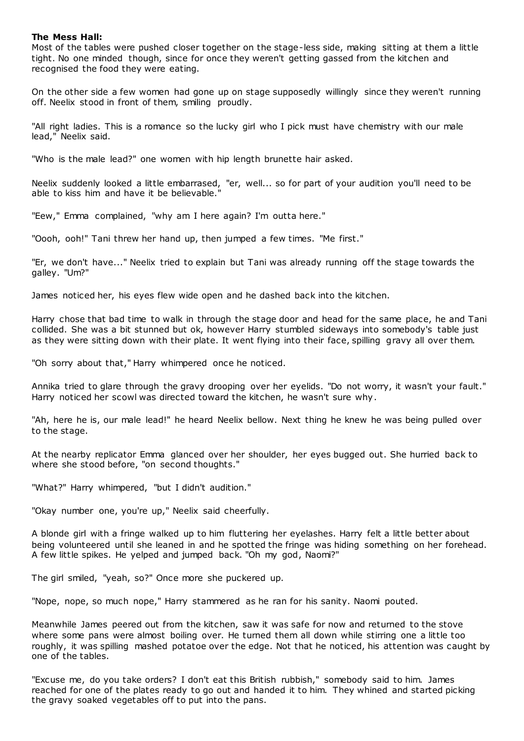## **The Mess Hall:**

Most of the tables were pushed closer together on the stage-less side, making sitting at them a little tight. No one minded though, since for once they weren't getting gassed from the kitchen and recognised the food they were eating.

On the other side a few women had gone up on stage supposedly willingly since they weren't running off. Neelix stood in front of them, smiling proudly.

"All right ladies. This is a romance so the lucky girl who I pick must have chemistry with our male lead," Neelix said.

"Who is the male lead?" one women with hip length brunette hair asked.

Neelix suddenly looked a little embarrased, "er, well... so for part of your audition you'll need to be able to kiss him and have it be believable."

"Eew," Emma complained, "why am I here again? I'm outta here."

"Oooh, ooh!" Tani threw her hand up, then jumped a few times. "Me first."

"Er, we don't have..." Neelix tried to explain but Tani was already running off the stage towards the galley. "Um?"

James noticed her, his eyes flew wide open and he dashed back into the kitchen.

Harry chose that bad time to walk in through the stage door and head for the same place, he and Tani collided. She was a bit stunned but ok, however Harry stumbled sideways into somebody's table just as they were sitting down with their plate. It went flying into their face, spilling gravy all over them.

"Oh sorry about that," Harry whimpered once he noticed.

Annika tried to glare through the gravy drooping over her eyelids. "Do not worry, it wasn't your fault." Harry noticed her scowl was directed toward the kitchen, he wasn't sure why.

"Ah, here he is, our male lead!" he heard Neelix bellow. Next thing he knew he was being pulled over to the stage.

At the nearby replicator Emma glanced over her shoulder, her eyes bugged out. She hurried back to where she stood before, "on second thoughts."

"What?" Harry whimpered, "but I didn't audition."

"Okay number one, you're up," Neelix said cheerfully.

A blonde girl with a fringe walked up to him fluttering her eyelashes. Harry felt a little better about being volunteered until she leaned in and he spotted the fringe was hiding something on her forehead. A few little spikes. He yelped and jumped back. "Oh my god, Naomi?"

The girl smiled, "yeah, so?" Once more she puckered up.

"Nope, nope, so much nope," Harry stammered as he ran for his sanity. Naomi pouted.

Meanwhile James peered out from the kitchen, saw it was safe for now and returned to the stove where some pans were almost boiling over. He turned them all down while stirring one a little too roughly, it was spilling mashed potatoe over the edge. Not that he noticed, his attention was caught by one of the tables.

"Excuse me, do you take orders? I don't eat this British rubbish," somebody said to him. James reached for one of the plates ready to go out and handed it to him. They whined and started picking the gravy soaked vegetables off to put into the pans.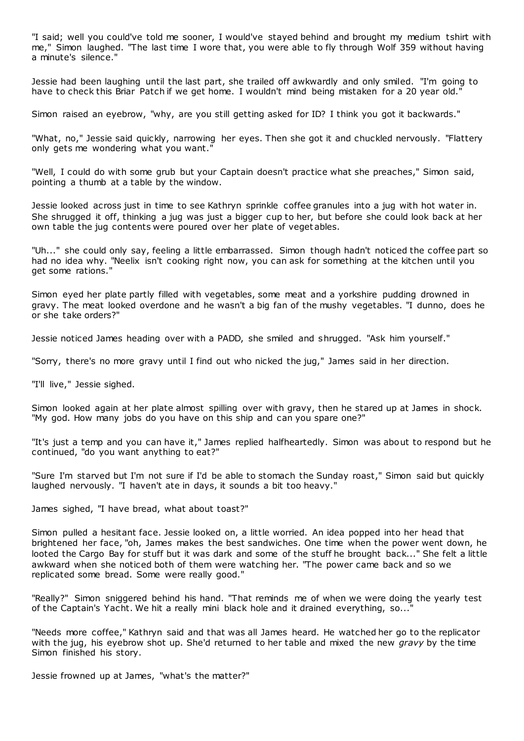"I said; well you could've told me sooner, I would've stayed behind and brought my medium tshirt with me," Simon laughed. "The last time I wore that, you were able to fly through Wolf 359 without having a minute's silence."

Jessie had been laughing until the last part, she trailed off awkwardly and only smiled. "I'm going to have to check this Briar Patch if we get home. I wouldn't mind being mistaken for a 20 year old."

Simon raised an eyebrow, "why, are you still getting asked for ID? I think you got it backwards."

"What, no," Jessie said quickly, narrowing her eyes. Then she got it and chuckled nervously. "Flattery only gets me wondering what you want."

"Well, I could do with some grub but your Captain doesn't practice what she preaches," Simon said, pointing a thumb at a table by the window.

Jessie looked across just in time to see Kathryn sprinkle coffee granules into a jug with hot water in. She shrugged it off, thinking a jug was just a bigger cup to her, but before she could look back at her own table the jug contents were poured over her plate of veget ables.

"Uh..." she could only say, feeling a little embarrassed. Simon though hadn't noticed the coffee part so had no idea why. "Neelix isn't cooking right now, you can ask for something at the kitchen until you get some rations."

Simon eyed her plate partly filled with vegetables, some meat and a yorkshire pudding drowned in gravy. The meat looked overdone and he wasn't a big fan of the mushy vegetables. "I dunno, does he or she take orders?"

Jessie noticed James heading over with a PADD, she smiled and shrugged. "Ask him yourself."

"Sorry, there's no more gravy until I find out who nicked the jug," James said in her direction.

"I'll live," Jessie sighed.

Simon looked again at her plate almost spilling over with gravy, then he stared up at James in shock. "My god. How many jobs do you have on this ship and can you spare one?"

"It's just a temp and you can have it," James replied halfheartedly. Simon was about to respond but he continued, "do you want anything to eat?"

"Sure I'm starved but I'm not sure if I'd be able to stomach the Sunday roast," Simon said but quickly laughed nervously. "I haven't ate in days, it sounds a bit too heavy."

James sighed, "I have bread, what about toast?"

Simon pulled a hesitant face. Jessie looked on, a little worried. An idea popped into her head that brightened her face, "oh, James makes the best sandwiches. One time when the power went down, he looted the Cargo Bay for stuff but it was dark and some of the stuff he brought back..." She felt a little awkward when she noticed both of them were watching her. "The power came back and so we replicated some bread. Some were really good."

"Really?" Simon sniggered behind his hand. "That reminds me of when we were doing the yearly test of the Captain's Yacht. We hit a really mini black hole and it drained everything, so...

"Needs more coffee," Kathryn said and that was all James heard. He watched her go to the replicator with the jug, his eyebrow shot up. She'd returned to her table and mixed the new *gravy* by the time Simon finished his story.

Jessie frowned up at James, "what's the matter?"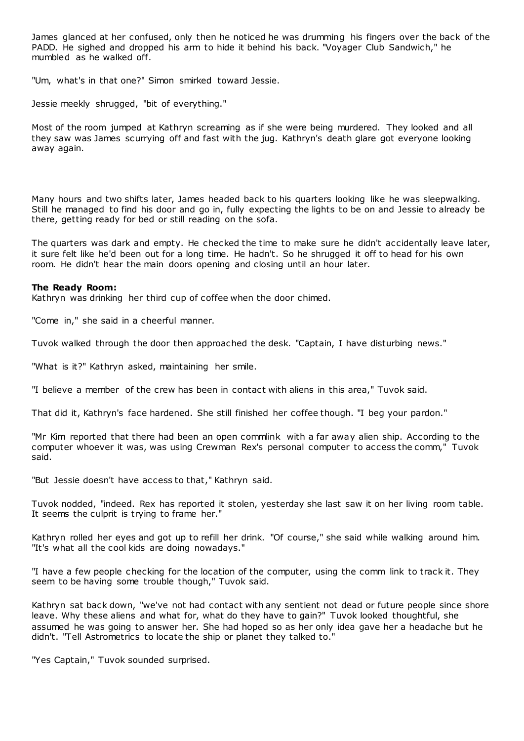James glanced at her confused, only then he noticed he was drumming his fingers over the back of the PADD. He sighed and dropped his arm to hide it behind his back. "Voyager Club Sandwich," he mumbled as he walked off.

"Um, what's in that one?" Simon smirked toward Jessie.

Jessie meekly shrugged, "bit of everything."

Most of the room jumped at Kathryn screaming as if she were being murdered. They looked and all they saw was James scurrying off and fast with the jug. Kathryn's death glare got everyone looking away again.

Many hours and two shifts later, James headed back to his quarters looking like he was sleepwalking. Still he managed to find his door and go in, fully expecting the lights to be on and Jessie to already be there, getting ready for bed or still reading on the sofa.

The quarters was dark and empty. He checked the time to make sure he didn't accidentally leave later, it sure felt like he'd been out for a long time. He hadn't. So he shrugged it off to head for his own room. He didn't hear the main doors opening and closing until an hour later.

## **The Ready Room:**

Kathryn was drinking her third cup of coffee when the door chimed.

"Come in," she said in a cheerful manner.

Tuvok walked through the door then approached the desk. "Captain, I have disturbing news."

"What is it?" Kathryn asked, maintaining her smile.

"I believe a member of the crew has been in contact with aliens in this area," Tuvok said.

That did it, Kathryn's face hardened. She still finished her coffee though. "I beg your pardon."

"Mr Kim reported that there had been an open commlink with a far away alien ship. According to the computer whoever it was, was using Crewman Rex's personal computer to access the comm," Tuvok said.

"But Jessie doesn't have access to that," Kathryn said.

Tuvok nodded, "indeed. Rex has reported it stolen, yesterday she last saw it on her living room table. It seems the culprit is trying to frame her."

Kathryn rolled her eyes and got up to refill her drink. "Of course," she said while walking around him. "It's what all the cool kids are doing nowadays."

"I have a few people checking for the location of the computer, using the comm link to track it. They seem to be having some trouble though," Tuvok said.

Kathryn sat back down, "we've not had contact with any sentient not dead or future people since shore leave. Why these aliens and what for, what do they have to gain?" Tuvok looked thoughtful, she assumed he was going to answer her. She had hoped so as her only idea gave her a headache but he didn't. "Tell Astrometrics to locate the ship or planet they talked to."

"Yes Captain," Tuvok sounded surprised.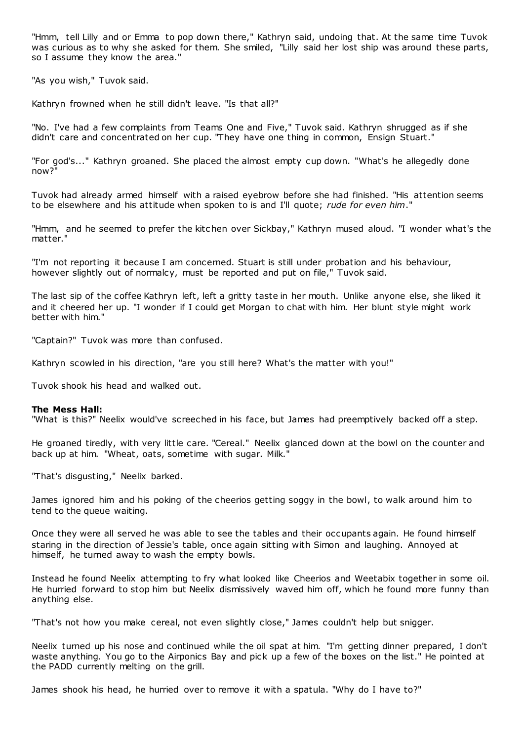"Hmm, tell Lilly and or Emma to pop down there," Kathryn said, undoing that. At the same time Tuvok was curious as to why she asked for them. She smiled, "Lilly said her lost ship was around these parts, so I assume they know the area."

"As you wish," Tuvok said.

Kathryn frowned when he still didn't leave. "Is that all?"

"No. I've had a few complaints from Teams One and Five," Tuvok said. Kathryn shrugged as if she didn't care and concentrated on her cup. "They have one thing in common, Ensign Stuart."

"For god's..." Kathryn groaned. She placed the almost empty cup down. "What's he allegedly done now?"

Tuvok had already armed himself with a raised eyebrow before she had finished. "His attention seems to be elsewhere and his attitude when spoken to is and I'll quote; *rude for even him*."

"Hmm, and he seemed to prefer the kitchen over Sickbay," Kathryn mused aloud. "I wonder what's the matter."

"I'm not reporting it because I am concerned. Stuart is still under probation and his behaviour, however slightly out of normalcy, must be reported and put on file," Tuvok said.

The last sip of the coffee Kathryn left, left a gritty taste in her mouth. Unlike anyone else, she liked it and it cheered her up. "I wonder if I could get Morgan to chat with him. Her blunt style might work better with him."

"Captain?" Tuvok was more than confused.

Kathryn scowled in his direction, "are you still here? What's the matter with you!"

Tuvok shook his head and walked out.

#### **The Mess Hall:**

"What is this?" Neelix would've screeched in his face, but James had preemptively backed off a step.

He groaned tiredly, with very little care. "Cereal." Neelix glanced down at the bowl on the counter and back up at him. "Wheat, oats, sometime with sugar. Milk."

"That's disgusting," Neelix barked.

James ignored him and his poking of the cheerios getting soggy in the bowl, to walk around him to tend to the queue waiting.

Once they were all served he was able to see the tables and their occupants again. He found himself staring in the direction of Jessie's table, once again sitting with Simon and laughing. Annoyed at himself, he turned away to wash the empty bowls.

Instead he found Neelix attempting to fry what looked like Cheerios and Weetabix together in some oil. He hurried forward to stop him but Neelix dismissively waved him off, which he found more funny than anything else.

"That's not how you make cereal, not even slightly close," James couldn't help but snigger.

Neelix turned up his nose and continued while the oil spat at him. "I'm getting dinner prepared, I don't waste anything. You go to the Airponics Bay and pick up a few of the boxes on the list." He pointed at the PADD currently melting on the grill.

James shook his head, he hurried over to remove it with a spatula. "Why do I have to?"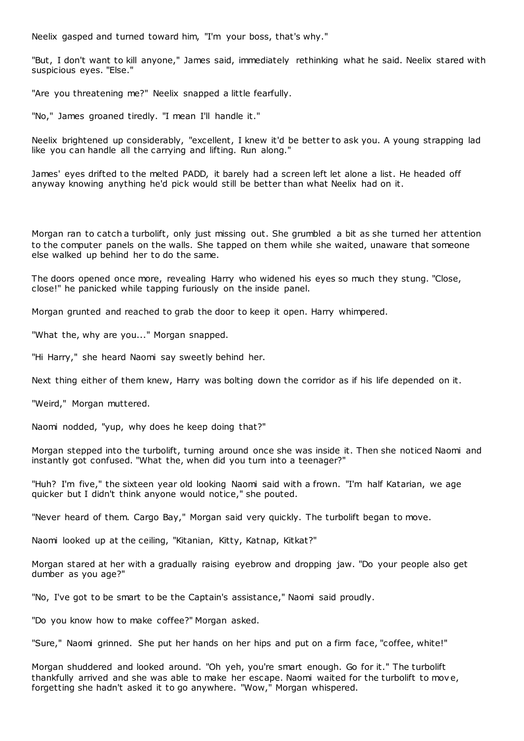Neelix gasped and turned toward him, "I'm your boss, that's why."

"But, I don't want to kill anyone," James said, immediately rethinking what he said. Neelix stared with suspicious eyes. "Else."

"Are you threatening me?" Neelix snapped a little fearfully.

"No," James groaned tiredly. "I mean I'll handle it."

Neelix brightened up considerably, "excellent, I knew it'd be better to ask you. A young strapping lad like you can handle all the carrying and lifting. Run along."

James' eyes drifted to the melted PADD, it barely had a screen left let alone a list. He headed off anyway knowing anything he'd pick would still be better than what Neelix had on it.

Morgan ran to catch a turbolift, only just missing out. She grumbled a bit as she turned her attention to the computer panels on the walls. She tapped on them while she waited, unaware that someone else walked up behind her to do the same.

The doors opened once more, revealing Harry who widened his eyes so much they stung. "Close, close!" he panicked while tapping furiously on the inside panel.

Morgan grunted and reached to grab the door to keep it open. Harry whimpered.

"What the, why are you..." Morgan snapped.

"Hi Harry," she heard Naomi say sweetly behind her.

Next thing either of them knew, Harry was bolting down the corridor as if his life depended on it.

"Weird," Morgan muttered.

Naomi nodded, "yup, why does he keep doing that?"

Morgan stepped into the turbolift, turning around once she was inside it. Then she noticed Naomi and instantly got confused. "What the, when did you turn into a teenager?"

"Huh? I'm five," the sixteen year old looking Naomi said with a frown. "I'm half Katarian, we age quicker but I didn't think anyone would notice," she pouted.

"Never heard of them. Cargo Bay," Morgan said very quickly. The turbolift began to move.

Naomi looked up at the ceiling, "Kitanian, Kitty, Katnap, Kitkat?"

Morgan stared at her with a gradually raising eyebrow and dropping jaw. "Do your people also get dumber as you age?"

"No, I've got to be smart to be the Captain's assistance," Naomi said proudly.

"Do you know how to make coffee?" Morgan asked.

"Sure," Naomi grinned. She put her hands on her hips and put on a firm face, "coffee, white!"

Morgan shuddered and looked around. "Oh yeh, you're smart enough. Go for it." The turbolift thankfully arrived and she was able to make her escape. Naomi waited for the turbolift to move, forgetting she hadn't asked it to go anywhere. "Wow," Morgan whispered.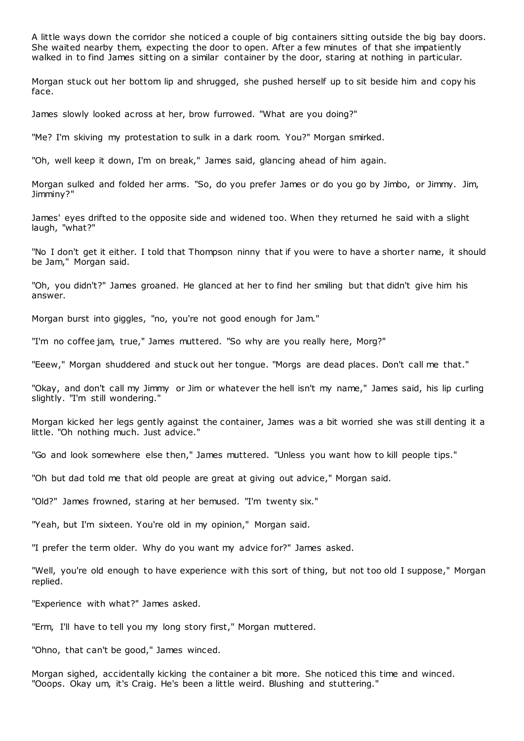A little ways down the corridor she noticed a couple of big containers sitting outside the big bay doors. She waited nearby them, expecting the door to open. After a few minutes of that she impatiently walked in to find James sitting on a similar container by the door, staring at nothing in particular.

Morgan stuck out her bottom lip and shrugged, she pushed herself up to sit beside him and copy his face.

James slowly looked across at her, brow furrowed. "What are you doing?"

"Me? I'm skiving my protestation to sulk in a dark room. You?" Morgan smirked.

"Oh, well keep it down, I'm on break," James said, glancing ahead of him again.

Morgan sulked and folded her arms. "So, do you prefer James or do you go by Jimbo, or Jimmy. Jim, Jimminy?"

James' eyes drifted to the opposite side and widened too. When they returned he said with a slight laugh, "what?"

"No I don't get it either. I told that Thompson ninny that if you were to have a shorter name, it should be Jam," Morgan said.

"Oh, you didn't?" James groaned. He glanced at her to find her smiling but that didn't give him his answer.

Morgan burst into giggles, "no, you're not good enough for Jam."

"I'm no coffee jam, true," James muttered. "So why are you really here, Morg?"

"Eeew," Morgan shuddered and stuck out her tongue. "Morgs are dead places. Don't call me that."

"Okay, and don't call my Jimmy or Jim or whatever the hell isn't my name," James said, his lip curling slightly. "I'm still wondering."

Morgan kicked her legs gently against the container, James was a bit worried she was still denting it a little. "Oh nothing much. Just advice."

"Go and look somewhere else then," James muttered. "Unless you want how to kill people tips."

"Oh but dad told me that old people are great at giving out advice," Morgan said.

"Old?" James frowned, staring at her bemused. "I'm twenty six."

"Yeah, but I'm sixteen. You're old in my opinion," Morgan said.

"I prefer the term older. Why do you want my advice for?" James asked.

"Well, you're old enough to have experience with this sort of thing, but not too old I suppose," Morgan replied.

"Experience with what?" James asked.

"Erm, I'll have to tell you my long story first," Morgan muttered.

"Ohno, that can't be good," James winced.

Morgan sighed, accidentally kicking the container a bit more. She noticed this time and winced. "Ooops. Okay um, it's Craig. He's been a little weird. Blushing and stuttering."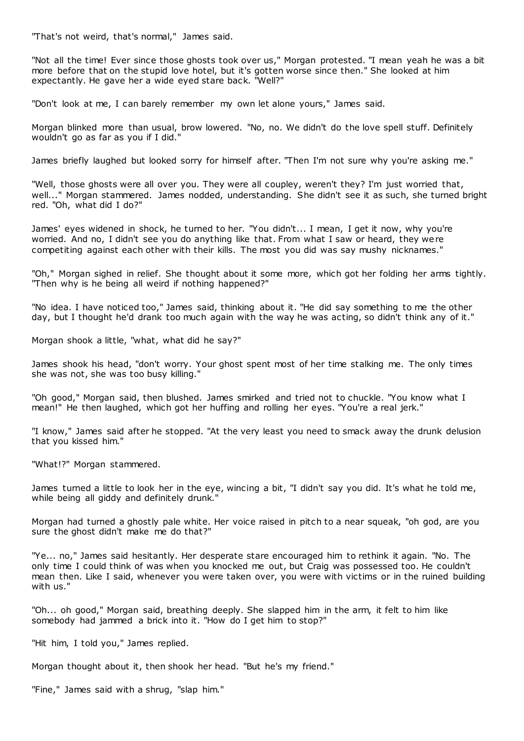"That's not weird, that's normal," James said.

"Not all the time! Ever since those ghosts took over us," Morgan protested. "I mean yeah he was a bit more before that on the stupid love hotel, but it's gotten worse since then." She looked at him expectantly. He gave her a wide eyed stare back. "Well?"

"Don't look at me, I can barely remember my own let alone yours," James said.

Morgan blinked more than usual, brow lowered. "No, no. We didn't do the love spell stuff. Definitely wouldn't go as far as you if I did."

James briefly laughed but looked sorry for himself after. "Then I'm not sure why you're asking me."

"Well, those ghosts were all over you. They were all coupley, weren't they? I'm just worried that, well..." Morgan stammered. James nodded, understanding. She didn't see it as such, she turned bright red. "Oh, what did I do?"

James' eyes widened in shock, he turned to her. "You didn't... I mean, I get it now, why you're worried. And no, I didn't see you do anything like that. From what I saw or heard, they were competiting against each other with their kills. The most you did was say mushy nicknames."

"Oh," Morgan sighed in relief. She thought about it some more, which got her folding her arms tightly. "Then why is he being all weird if nothing happened?"

"No idea. I have noticed too," James said, thinking about it. "He did say something to me the other day, but I thought he'd drank too much again with the way he was acting, so didn't think any of it."

Morgan shook a little, "what, what did he say?"

James shook his head, "don't worry. Your ghost spent most of her time stalking me. The only times she was not, she was too busy killing."

"Oh good," Morgan said, then blushed. James smirked and tried not to chuckle. "You know what I mean!" He then laughed, which got her huffing and rolling her eyes. "You're a real jerk."

"I know," James said after he stopped. "At the very least you need to smack away the drunk delusion that you kissed him."

"What!?" Morgan stammered.

James turned a little to look her in the eye, wincing a bit, "I didn't say you did. It's what he told me, while being all giddy and definitely drunk."

Morgan had turned a ghostly pale white. Her voice raised in pitch to a near squeak, "oh god, are you sure the ghost didn't make me do that?"

"Ye... no," James said hesitantly. Her desperate stare encouraged him to rethink it again. "No. The only time I could think of was when you knocked me out, but Craig was possessed too. He couldn't mean then. Like I said, whenever you were taken over, you were with victims or in the ruined building with us."

"Oh... oh good," Morgan said, breathing deeply. She slapped him in the arm, it felt to him like somebody had jammed a brick into it. "How do I get him to stop?"

"Hit him, I told you," James replied.

Morgan thought about it, then shook her head. "But he's my friend."

"Fine," James said with a shrug, "slap him."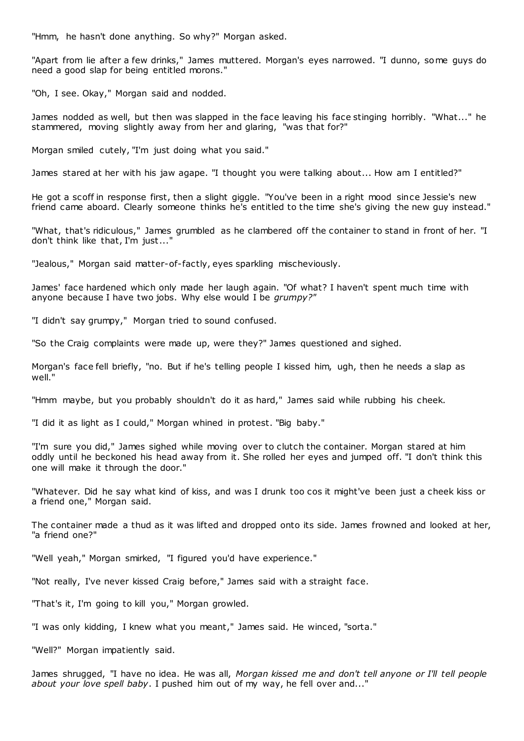"Hmm, he hasn't done anything. So why?" Morgan asked.

"Apart from lie after a few drinks," James muttered. Morgan's eyes narrowed. "I dunno, some guys do need a good slap for being entitled morons."

"Oh, I see. Okay," Morgan said and nodded.

James nodded as well, but then was slapped in the face leaving his face stinging horribly. "What..." he stammered, moving slightly away from her and glaring, "was that for?"

Morgan smiled cutely, "I'm just doing what you said."

James stared at her with his jaw agape. "I thought you were talking about... How am I entitled?"

He got a scoff in response first, then a slight giggle. "You've been in a right mood since Jessie's new friend came aboard. Clearly someone thinks he's entitled to the time she's giving the new guy instead."

"What, that's ridiculous," James grumbled as he clambered off the container to stand in front of her. "I don't think like that, I'm just..."

"Jealous," Morgan said matter-of-factly, eyes sparkling mischeviously.

James' face hardened which only made her laugh again. "Of what? I haven't spent much time with anyone because I have two jobs. Why else would I be *grumpy?"*

"I didn't say grumpy," Morgan tried to sound confused.

"So the Craig complaints were made up, were they?" James questioned and sighed.

Morgan's face fell briefly, "no. But if he's telling people I kissed him, ugh, then he needs a slap as well."

"Hmm maybe, but you probably shouldn't do it as hard," James said while rubbing his cheek.

"I did it as light as I could," Morgan whined in protest. "Big baby."

"I'm sure you did," James sighed while moving over to clutch the container. Morgan stared at him oddly until he beckoned his head away from it. She rolled her eyes and jumped off. "I don't think this one will make it through the door."

"Whatever. Did he say what kind of kiss, and was I drunk too cos it might've been just a cheek kiss or a friend one," Morgan said.

The container made a thud as it was lifted and dropped onto its side. James frowned and looked at her, "a friend one?"

"Well yeah," Morgan smirked, "I figured you'd have experience."

"Not really, I've never kissed Craig before," James said with a straight face.

"That's it, I'm going to kill you," Morgan growled.

"I was only kidding, I knew what you meant," James said. He winced, "sorta."

"Well?" Morgan impatiently said.

James shrugged, "I have no idea. He was all, *Morgan kissed me and don't tell anyone or I'll tell people about your love spell baby*. I pushed him out of my way, he fell over and..."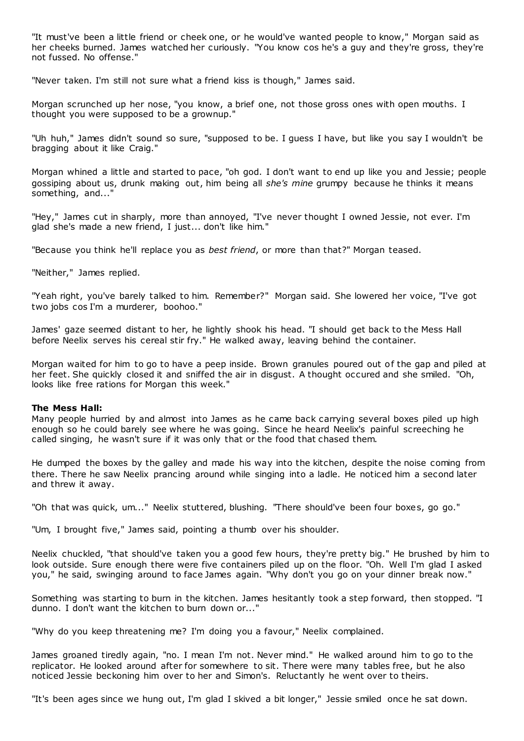"It must've been a little friend or cheek one, or he would've wanted people to know," Morgan said as her cheeks burned. James watched her curiously. "You know cos he's a guy and they're gross, they're not fussed. No offense."

"Never taken. I'm still not sure what a friend kiss is though," James said.

Morgan scrunched up her nose, "you know, a brief one, not those gross ones with open mouths. I thought you were supposed to be a grownup."

"Uh huh," James didn't sound so sure, "supposed to be. I guess I have, but like you say I wouldn't be bragging about it like Craig."

Morgan whined a little and started to pace, "oh god. I don't want to end up like you and Jessie; people gossiping about us, drunk making out, him being all *she's mine* grumpy because he thinks it means something, and...'

"Hey," James cut in sharply, more than annoyed, "I've never thought I owned Jessie, not ever. I'm glad she's made a new friend, I just... don't like him."

"Because you think he'll replace you as *best friend*, or more than that?" Morgan teased.

"Neither," James replied.

"Yeah right, you've barely talked to him. Remember?" Morgan said. She lowered her voice, "I've got two jobs cos I'm a murderer, boohoo."

James' gaze seemed distant to her, he lightly shook his head. "I should get back to the Mess Hall before Neelix serves his cereal stir fry." He walked away, leaving behind the container.

Morgan waited for him to go to have a peep inside. Brown granules poured out of the gap and piled at her feet. She quickly closed it and sniffed the air in disgust. A thought occured and she smiled. "Oh, looks like free rations for Morgan this week."

## **The Mess Hall:**

Many people hurried by and almost into James as he came back carrying several boxes piled up high enough so he could barely see where he was going. Since he heard Neelix's painful screeching he called singing, he wasn't sure if it was only that or the food that chased them.

He dumped the boxes by the galley and made his way into the kitchen, despite the noise coming from there. There he saw Neelix prancing around while singing into a ladle. He noticed him a second later and threw it away.

"Oh that was quick, um..." Neelix stuttered, blushing. "There should've been four boxes, go go."

"Um, I brought five," James said, pointing a thumb over his shoulder.

Neelix chuckled, "that should've taken you a good few hours, they're pretty big." He brushed by him to look outside. Sure enough there were five containers piled up on the floor. "Oh. Well I'm glad I asked you," he said, swinging around to face James again. "Why don't you go on your dinner break now."

Something was starting to burn in the kitchen. James hesitantly took a step forward, then stopped. "I dunno. I don't want the kitchen to burn down or..."

"Why do you keep threatening me? I'm doing you a favour," Neelix complained.

James groaned tiredly again, "no. I mean I'm not. Never mind." He walked around him to go to the replicator. He looked around after for somewhere to sit. There were many tables free, but he also noticed Jessie beckoning him over to her and Simon's. Reluctantly he went over to theirs.

"It's been ages since we hung out, I'm glad I skived a bit longer," Jessie smiled once he sat down.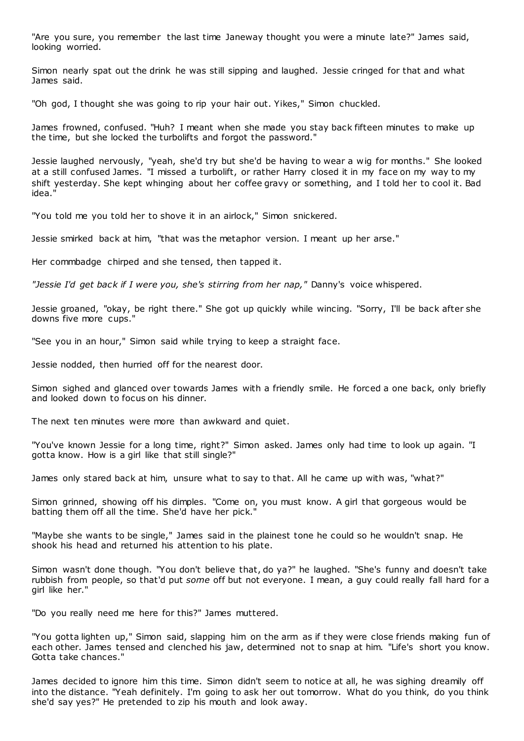"Are you sure, you remember the last time Janeway thought you were a minute late?" James said, looking worried.

Simon nearly spat out the drink he was still sipping and laughed. Jessie cringed for that and what James said.

"Oh god, I thought she was going to rip your hair out. Yikes," Simon chuckled.

James frowned, confused. "Huh? I meant when she made you stay back fifteen minutes to make up the time, but she locked the turbolifts and forgot the password."

Jessie laughed nervously, "yeah, she'd try but she'd be having to wear a wig for months." She looked at a still confused James. "I missed a turbolift, or rather Harry closed it in my face on my way to my shift yesterday. She kept whinging about her coffee gravy or something, and I told her to cool it. Bad idea."

"You told me you told her to shove it in an airlock," Simon snickered.

Jessie smirked back at him, "that was the metaphor version. I meant up her arse."

Her commbadge chirped and she tensed, then tapped it.

*"Jessie I'd get back if I were you, she's stirring from her nap,"* Danny's voice whispered.

Jessie groaned, "okay, be right there." She got up quickly while wincing. "Sorry, I'll be back after she downs five more cups."

"See you in an hour," Simon said while trying to keep a straight face.

Jessie nodded, then hurried off for the nearest door.

Simon sighed and glanced over towards James with a friendly smile. He forced a one back, only briefly and looked down to focus on his dinner.

The next ten minutes were more than awkward and quiet.

"You've known Jessie for a long time, right?" Simon asked. James only had time to look up again. "I gotta know. How is a girl like that still single?"

James only stared back at him, unsure what to say to that. All he came up with was, "what?"

Simon grinned, showing off his dimples. "Come on, you must know. A girl that gorgeous would be batting them off all the time. She'd have her pick."

"Maybe she wants to be single," James said in the plainest tone he could so he wouldn't snap. He shook his head and returned his attention to his plate.

Simon wasn't done though. "You don't believe that, do ya?" he laughed. "She's funny and doesn't take rubbish from people, so that'd put *some* off but not everyone. I mean, a guy could really fall hard for a girl like her."

"Do you really need me here for this?" James muttered.

"You gotta lighten up," Simon said, slapping him on the arm as if they were close friends making fun of each other. James tensed and clenched his jaw, determined not to snap at him. "Life's short you know. Gotta take chances."

James decided to ignore him this time. Simon didn't seem to notice at all, he was sighing dreamily off into the distance. "Yeah definitely. I'm going to ask her out tomorrow. What do you think, do you think she'd say yes?" He pretended to zip his mouth and look away.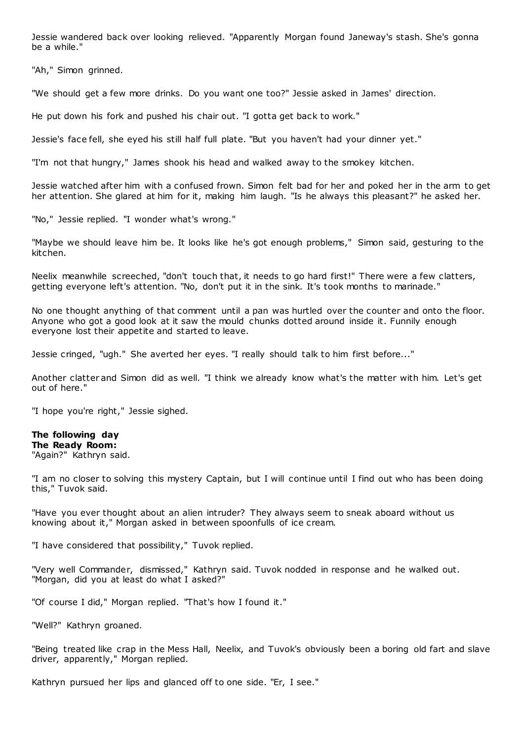Jessie wandered back over looking relieved. "Apparently Morgan found Janeway's stash. She's gonna be a while."

"Ah," Simon grinned.

"We should get a few more drinks. Do you want one too?" Jessie asked in James' direction.

He put down his fork and pushed his chair out. "I gotta get back to work."

Jessie's face fell, she eyed his still half full plate. "But you haven't had your dinner yet."

"I'm not that hungry," James shook his head and walked away to the smokey kitchen.

Jessie watched after him with a confused frown. Simon felt bad for her and poked her in the arm to get her attention. She glared at him for it, making him laugh. "Is he always this pleasant?" he asked her.

"No," Jessie replied. "I wonder what's wrong."

"Maybe we should leave him be. It looks like he's got enough problems," Simon said, gesturing to the kitchen.

Neelix meanwhile screeched, "don't touch that, it needs to go hard first!" There were a few clatters, getting everyone left's attention. "No, don't put it in the sink. It's took months to marinade."

No one thought anything of that comment until a pan was hurtled over the counter and onto the floor. Anyone who got a good look at it saw the mould chunks dotted around inside it. Funnily enough everyone lost their appetite and started to leave.

Jessie cringed, "ugh." She averted her eyes. "I really should talk to him first before..."

Another clatter and Simon did as well. "I think we already know what's the matter with him. Let's get out of here."

"I hope you're right," Jessie sighed.

## **The following day**

**The Ready Room:** "Again?" Kathryn said.

"I am no closer to solving this mystery Captain, but I will continue until I find out who has been doing this," Tuvok said.

"Have you ever thought about an alien intruder? They always seem to sneak aboard without us knowing about it," Morgan asked in between spoonfulls of ice cream.

"I have considered that possibility," Tuvok replied.

"Very well Commander, dismissed," Kathryn said. Tuvok nodded in response and he walked out. "Morgan, did you at least do what I asked?"

"Of course I did," Morgan replied. "That's how I found it."

"Well?" Kathryn groaned.

"Being treated like crap in the Mess Hall, Neelix, and Tuvok's obviously been a boring old fart and slave driver, apparently," Morgan replied.

Kathryn pursued her lips and glanced off to one side. "Er, I see."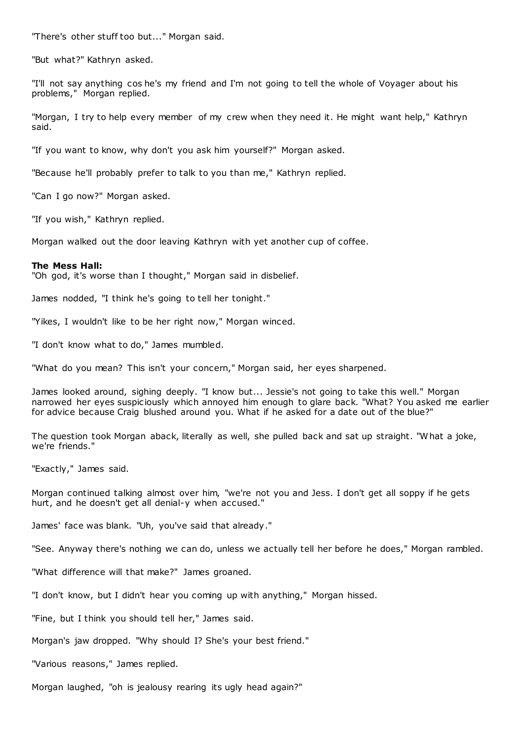"There's other stuff too but..." Morgan said.

"But what?" Kathryn asked.

"I'll not say anything cos he's my friend and I'm not going to tell the whole of Voyager about his problems," Morgan replied.

"Morgan, I try to help every member of my crew when they need it. He might want help," Kathryn said.

"If you want to know, why don't you ask him yourself?" Morgan asked.

"Because he'll probably prefer to talk to you than me," Kathryn replied.

"Can I go now?" Morgan asked.

"If you wish," Kathryn replied.

Morgan walked out the door leaving Kathryn with yet another cup of coffee.

#### **The Mess Hall:**

"Oh god, it's worse than I thought," Morgan said in disbelief.

James nodded, "I think he's going to tell her tonight."

"Yikes, I wouldn't like to be her right now," Morgan winced.

"I don't know what to do," James mumbled.

"What do you mean? This isn't your concern," Morgan said, her eyes sharpened.

James looked around, sighing deeply. "I know but... Jessie's not going to take this well." Morgan narrowed her eyes suspiciously which annoyed him enough to glare back. "What? You asked me earlier for advice because Craig blushed around you. What if he asked for a date out of the blue?"

The question took Morgan aback, literally as well, she pulled back and sat up straight. "What a joke, we're friends."

"Exactly," James said.

Morgan continued talking almost over him, "we're not you and Jess. I don't get all soppy if he gets hurt, and he doesn't get all denial-y when accused."

James' face was blank. "Uh, you've said that already."

"See. Anyway there's nothing we can do, unless we actually tell her before he does," Morgan rambled.

"What difference will that make?" James groaned.

"I don't know, but I didn't hear you coming up with anything," Morgan hissed.

"Fine, but I think you should tell her," James said.

Morgan's jaw dropped. "Why should I? She's your best friend."

"Various reasons," James replied.

Morgan laughed, "oh is jealousy rearing its ugly head again?"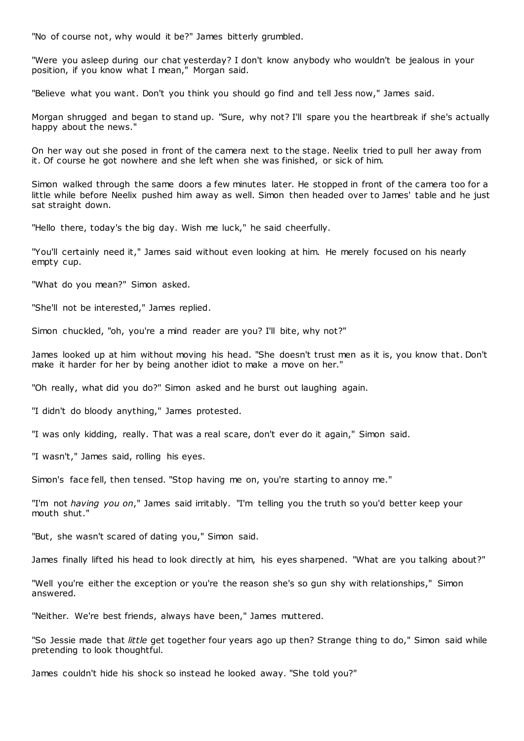"No of course not, why would it be?" James bitterly grumbled.

"Were you asleep during our chat yesterday? I don't know anybody who wouldn't be jealous in your position, if you know what I mean," Morgan said.

"Believe what you want. Don't you think you should go find and tell Jess now," James said.

Morgan shrugged and began to stand up. "Sure, why not? I'll spare you the heartbreak if she's actually happy about the news."

On her way out she posed in front of the camera next to the stage. Neelix tried to pull her away from it. Of course he got nowhere and she left when she was finished, or sick of him.

Simon walked through the same doors a few minutes later. He stopped in front of the camera too for a little while before Neelix pushed him away as well. Simon then headed over to James' table and he just sat straight down.

"Hello there, today's the big day. Wish me luck," he said cheerfully.

"You'll certainly need it," James said without even looking at him. He merely focused on his nearly empty cup.

"What do you mean?" Simon asked.

"She'll not be interested," James replied.

Simon chuckled, "oh, you're a mind reader are you? I'll bite, why not?"

James looked up at him without moving his head. "She doesn't trust men as it is, you know that. Don't make it harder for her by being another idiot to make a move on her."

"Oh really, what did you do?" Simon asked and he burst out laughing again.

"I didn't do bloody anything," James protested.

"I was only kidding, really. That was a real scare, don't ever do it again," Simon said.

"I wasn't," James said, rolling his eyes.

Simon's face fell, then tensed. "Stop having me on, you're starting to annoy me."

"I'm not *having you on*," James said irritably. "I'm telling you the truth so you'd better keep your mouth shut."

"But, she wasn't scared of dating you," Simon said.

James finally lifted his head to look directly at him, his eyes sharpened. "What are you talking about?"

"Well you're either the exception or you're the reason she's so gun shy with relationships," Simon answered.

"Neither. We're best friends, always have been," James muttered.

"So Jessie made that *little* get together four years ago up then? Strange thing to do," Simon said while pretending to look thoughtful.

James couldn't hide his shock so instead he looked away. "She told you?"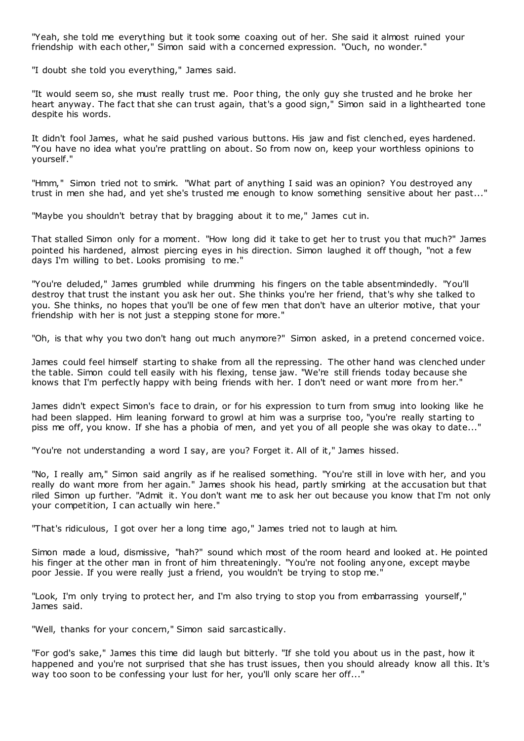"Yeah, she told me everything but it took some coaxing out of her. She said it almost ruined your friendship with each other," Simon said with a concerned expression. "Ouch, no wonder."

"I doubt she told you everything," James said.

"It would seem so, she must really trust me. Poor thing, the only guy she trusted and he broke her heart anyway. The fact that she can trust again, that's a good sign," Simon said in a lighthearted tone despite his words.

It didn't fool James, what he said pushed various buttons. His jaw and fist clenched, eyes hardened. "You have no idea what you're prattling on about. So from now on, keep your worthless opinions to yourself."

"Hmm," Simon tried not to smirk. "What part of anything I said was an opinion? You destroyed any trust in men she had, and yet she's trusted me enough to know something sensitive about her past..."

"Maybe you shouldn't betray that by bragging about it to me," James cut in.

That stalled Simon only for a moment. "How long did it take to get her to trust you that much?" James pointed his hardened, almost piercing eyes in his direction. Simon laughed it off though, "not a few days I'm willing to bet. Looks promising to me."

"You're deluded," James grumbled while drumming his fingers on the table absentmindedly. "You'll destroy that trust the instant you ask her out. She thinks you're her friend, that's why she talked to you. She thinks, no hopes that you'll be one of few men that don't have an ulterior motive, that your friendship with her is not just a stepping stone for more."

"Oh, is that why you two don't hang out much anymore?" Simon asked, in a pretend concerned voice.

James could feel himself starting to shake from all the repressing. The other hand was clenched under the table. Simon could tell easily with his flexing, tense jaw. "We're still friends today because she knows that I'm perfectly happy with being friends with her. I don't need or want more from her."

James didn't expect Simon's face to drain, or for his expression to turn from smug into looking like he had been slapped. Him leaning forward to growl at him was a surprise too, "you're really starting to piss me off, you know. If she has a phobia of men, and yet you of all people she was okay to date..."

"You're not understanding a word I say, are you? Forget it. All of it," James hissed.

"No, I really am," Simon said angrily as if he realised something. "You're still in love with her, and you really do want more from her again." James shook his head, partly smirking at the accusation but that riled Simon up further. "Admit it. You don't want me to ask her out because you know that I'm not only your competition, I can actually win here."

"That's ridiculous, I got over her a long time ago," James tried not to laugh at him.

Simon made a loud, dismissive, "hah?" sound which most of the room heard and looked at. He pointed his finger at the other man in front of him threateningly. "You're not fooling anyone, except maybe poor Jessie. If you were really just a friend, you wouldn't be trying to stop me."

"Look, I'm only trying to protect her, and I'm also trying to stop you from embarrassing yourself," James said.

"Well, thanks for your concern," Simon said sarcastically.

"For god's sake," James this time did laugh but bitterly. "If she told you about us in the past, how it happened and you're not surprised that she has trust issues, then you should already know all this. It's way too soon to be confessing your lust for her, you'll only scare her off..."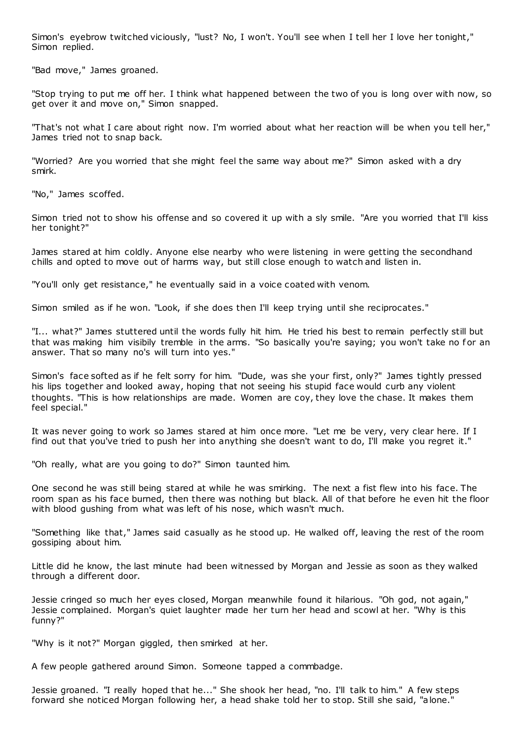Simon's eyebrow twitched viciously, "lust? No, I won't. You'll see when I tell her I love her tonight," Simon replied.

"Bad move," James groaned.

"Stop trying to put me off her. I think what happened between the two of you is long over with now, so get over it and move on," Simon snapped.

"That's not what I care about right now. I'm worried about what her reaction will be when you tell her," James tried not to snap back.

"Worried? Are you worried that she might feel the same way about me?" Simon asked with a dry smirk.

"No," James scoffed.

Simon tried not to show his offense and so covered it up with a sly smile. "Are you worried that I'll kiss her tonight?"

James stared at him coldly. Anyone else nearby who were listening in were getting the secondhand chills and opted to move out of harms way, but still close enough to watch and listen in.

"You'll only get resistance," he eventually said in a voice coated with venom.

Simon smiled as if he won. "Look, if she does then I'll keep trying until she reciprocates."

"I... what?" James stuttered until the words fully hit him. He tried his best to remain perfectly still but that was making him visibily tremble in the arms. "So basically you're saying; you won't take no for an answer. That so many no's will turn into yes."

Simon's face softed as if he felt sorry for him. "Dude, was she your first, only?" James tightly pressed his lips together and looked away, hoping that not seeing his stupid face would curb any violent thoughts. "This is how relationships are made. Women are coy, they love the chase. It makes them feel special."

It was never going to work so James stared at him once more. "Let me be very, very clear here. If I find out that you've tried to push her into anything she doesn't want to do, I'll make you regret it."

"Oh really, what are you going to do?" Simon taunted him.

One second he was still being stared at while he was smirking. The next a fist flew into his face. The room span as his face burned, then there was nothing but black. All of that before he even hit the floor with blood gushing from what was left of his nose, which wasn't much.

"Something like that," James said casually as he stood up. He walked off, leaving the rest of the room gossiping about him.

Little did he know, the last minute had been witnessed by Morgan and Jessie as soon as they walked through a different door.

Jessie cringed so much her eyes closed, Morgan meanwhile found it hilarious. "Oh god, not again," Jessie complained. Morgan's quiet laughter made her turn her head and scowl at her. "Why is this funny?"

"Why is it not?" Morgan giggled, then smirked at her.

A few people gathered around Simon. Someone tapped a commbadge.

Jessie groaned. "I really hoped that he..." She shook her head, "no. I'll talk to him." A few steps forward she noticed Morgan following her, a head shake told her to stop. Still she said, "alone."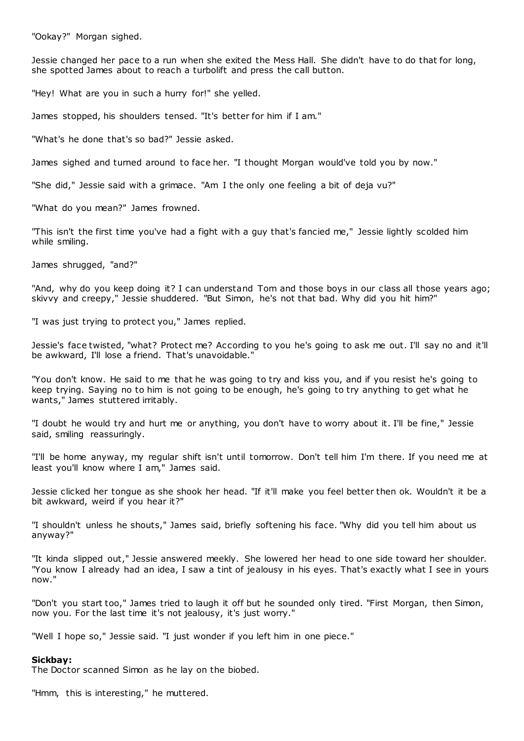"Ookay?" Morgan sighed.

Jessie changed her pace to a run when she exited the Mess Hall. She didn't have to do that for long, she spotted James about to reach a turbolift and press the call button.

"Hey! What are you in such a hurry for!" she yelled.

James stopped, his shoulders tensed. "It's better for him if I am."

"What's he done that's so bad?" Jessie asked.

James sighed and turned around to face her. "I thought Morgan would've told you by now."

"She did," Jessie said with a grimace. "Am I the only one feeling a bit of deja vu?"

"What do you mean?" James frowned.

"This isn't the first time you've had a fight with a guy that's fancied me," Jessie lightly scolded him while smiling.

James shrugged, "and?"

"And, why do you keep doing it? I can understand Tom and those boys in our class all those years ago; skivvy and creepy," Jessie shuddered. "But Simon, he's not that bad. Why did you hit him?"

"I was just trying to protect you," James replied.

Jessie's face twisted, "what? Protect me? According to you he's going to ask me out. I'll say no and it'll be awkward, I'll lose a friend. That's unavoidable."

"You don't know. He said to me that he was going to try and kiss you, and if you resist he's going to keep trying. Saying no to him is not going to be enough, he's going to try anything to get what he wants," James stuttered irritably.

"I doubt he would try and hurt me or anything, you don't have to worry about it. I'll be fine," Jessie said, smiling reassuringly.

"I'll be home anyway, my regular shift isn't until tomorrow. Don't tell him I'm there. If you need me at least you'll know where I am," James said.

Jessie clicked her tongue as she shook her head. "If it'll make you feel better then ok. Wouldn't it be a bit awkward, weird if you hear it?"

"I shouldn't unless he shouts," James said, briefly softening his face. "Why did you tell him about us anyway?"

"It kinda slipped out," Jessie answered meekly. She lowered her head to one side toward her shoulder. "You know I already had an idea, I saw a tint of jealousy in his eyes. That's exactly what I see in yours now."

"Don't you start too," James tried to laugh it off but he sounded only tired. "First Morgan, then Simon, now you. For the last time it's not jealousy, it's just worry."

"Well I hope so," Jessie said. "I just wonder if you left him in one piece."

#### **Sickbay:**

The Doctor scanned Simon as he lay on the biobed.

"Hmm, this is interesting," he muttered.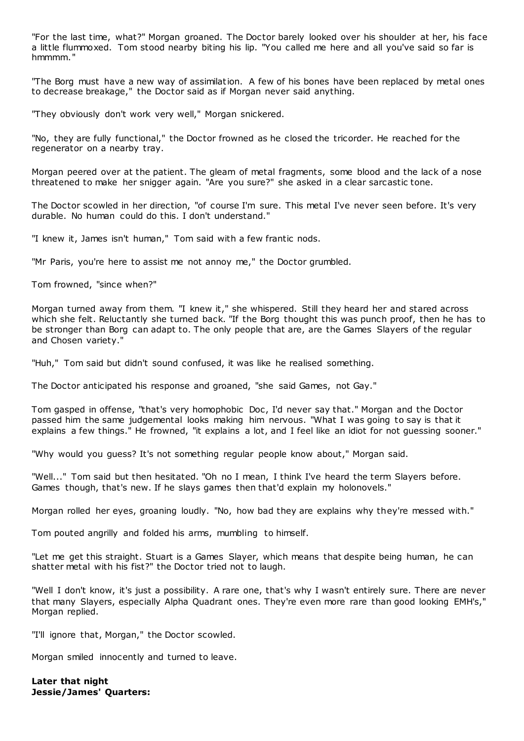"For the last time, what?" Morgan groaned. The Doctor barely looked over his shoulder at her, his face a little flummoxed. Tom stood nearby biting his lip. "You called me here and all you've said so far is hmmmm."

"The Borg must have a new way of assimilation. A few of his bones have been replaced by metal ones to decrease breakage," the Doctor said as if Morgan never said anything.

"They obviously don't work very well," Morgan snickered.

"No, they are fully functional," the Doctor frowned as he closed the tricorder. He reached for the regenerator on a nearby tray.

Morgan peered over at the patient. The gleam of metal fragments, some blood and the lack of a nose threatened to make her snigger again. "Are you sure?" she asked in a clear sarcastic tone.

The Doctor scowled in her direction, "of course I'm sure. This metal I've never seen before. It's very durable. No human could do this. I don't understand."

"I knew it, James isn't human," Tom said with a few frantic nods.

"Mr Paris, you're here to assist me not annoy me," the Doctor grumbled.

Tom frowned, "since when?"

Morgan turned away from them. "I knew it," she whispered. Still they heard her and stared across which she felt. Reluctantly she turned back. "If the Borg thought this was punch proof, then he has to be stronger than Borg can adapt to. The only people that are, are the Games Slayers of the regular and Chosen variety."

"Huh," Tom said but didn't sound confused, it was like he realised something.

The Doctor anticipated his response and groaned, "she said Games, not Gay."

Tom gasped in offense, "that's very homophobic Doc , I'd never say that." Morgan and the Doctor passed him the same judgemental looks making him nervous. "What I was going to say is that it explains a few things." He frowned, "it explains a lot, and I feel like an idiot for not guessing sooner."

"Why would you guess? It's not something regular people know about," Morgan said.

"Well..." Tom said but then hesitated. "Oh no I mean, I think I've heard the term Slayers before. Games though, that's new. If he slays games then that'd explain my holonovels."

Morgan rolled her eyes, groaning loudly. "No, how bad they are explains why they're messed with."

Tom pouted angrilly and folded his arms, mumbling to himself.

"Let me get this straight. Stuart is a Games Slayer, which means that despite being human, he can shatter metal with his fist?" the Doctor tried not to laugh.

"Well I don't know, it's just a possibility. A rare one, that's why I wasn't entirely sure. There are never that many Slayers, especially Alpha Quadrant ones. They're even more rare than good looking EMH's," Morgan replied.

"I'll ignore that, Morgan," the Doctor scowled.

Morgan smiled innocently and turned to leave.

**Later that night Jessie/James' Quarters:**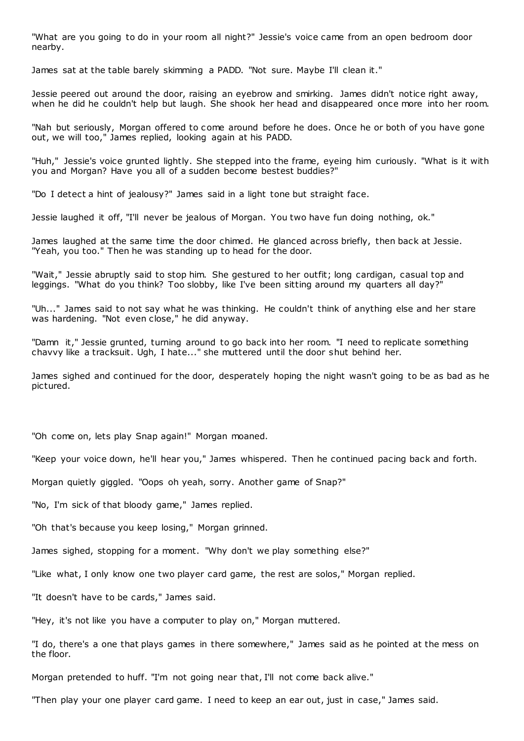"What are you going to do in your room all night?" Jessie's voice came from an open bedroom door nearby.

James sat at the table barely skimming a PADD. "Not sure. Maybe I'll clean it."

Jessie peered out around the door, raising an eyebrow and smirking. James didn't notice right away, when he did he couldn't help but laugh. She shook her head and disappeared once more into her room.

"Nah but seriously, Morgan offered to come around before he does. Once he or both of you have gone out, we will too," James replied, looking again at his PADD.

"Huh," Jessie's voice grunted lightly. She stepped into the frame, eyeing him curiously. "What is it with you and Morgan? Have you all of a sudden become bestest buddies?"

"Do I detect a hint of jealousy?" James said in a light tone but straight face.

Jessie laughed it off, "I'll never be jealous of Morgan. You two have fun doing nothing, ok."

James laughed at the same time the door chimed. He glanced across briefly, then back at Jessie. "Yeah, you too." Then he was standing up to head for the door.

"Wait," Jessie abruptly said to stop him. She gestured to her outfit; long cardigan, casual top and leggings. "What do you think? Too slobby, like I've been sitting around my quarters all day?"

"Uh..." James said to not say what he was thinking. He couldn't think of anything else and her stare was hardening. "Not even close," he did anyway.

"Damn it," Jessie grunted, turning around to go back into her room. "I need to replicate something chavvy like a tracksuit. Ugh, I hate..." she muttered until the door shut behind her.

James sighed and continued for the door, desperately hoping the night wasn't going to be as bad as he pictured.

"Oh come on, lets play Snap again!" Morgan moaned.

"Keep your voice down, he'll hear you," James whispered. Then he continued pacing back and forth.

Morgan quietly giggled. "Oops oh yeah, sorry. Another game of Snap?"

"No, I'm sick of that bloody game," James replied.

"Oh that's because you keep losing," Morgan grinned.

James sighed, stopping for a moment. "Why don't we play something else?"

"Like what, I only know one two player card game, the rest are solos," Morgan replied.

"It doesn't have to be cards," James said.

"Hey, it's not like you have a computer to play on," Morgan muttered.

"I do, there's a one that plays games in there somewhere," James said as he pointed at the mess on the floor.

Morgan pretended to huff. "I'm not going near that, I'll not come back alive."

"Then play your one player card game. I need to keep an ear out, just in case," James said.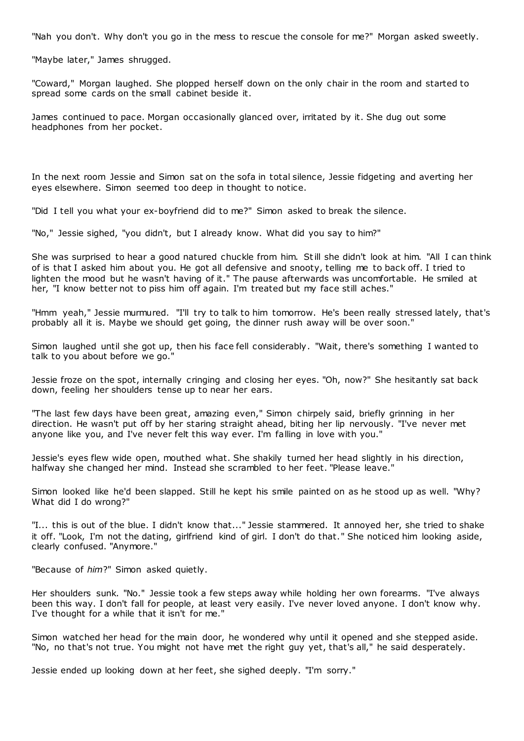"Nah you don't. Why don't you go in the mess to rescue the console for me?" Morgan asked sweetly.

"Maybe later," James shrugged.

"Coward," Morgan laughed. She plopped herself down on the only chair in the room and started to spread some cards on the small cabinet beside it.

James continued to pace. Morgan occasionally glanced over, irritated by it. She dug out some headphones from her pocket.

In the next room Jessie and Simon sat on the sofa in total silence, Jessie fidgeting and averting her eyes elsewhere. Simon seemed too deep in thought to notice.

"Did I tell you what your ex-boyfriend did to me?" Simon asked to break the silence.

"No," Jessie sighed, "you didn't, but I already know. What did you say to him?"

She was surprised to hear a good natured chuckle from him. Still she didn't look at him. "All I can think of is that I asked him about you. He got all defensive and snooty, telling me to back off. I tried to lighten the mood but he wasn't having of it." The pause afterwards was uncomfortable. He smiled at her, "I know better not to piss him off again. I'm treated but my face still aches."

"Hmm yeah," Jessie murmured. "I'll try to talk to him tomorrow. He's been really stressed lately, that's probably all it is. Maybe we should get going, the dinner rush away will be over soon."

Simon laughed until she got up, then his face fell considerably. "Wait, there's something I wanted to talk to you about before we go."

Jessie froze on the spot, internally cringing and closing her eyes. "Oh, now?" She hesitantly sat back down, feeling her shoulders tense up to near her ears.

"The last few days have been great, amazing even," Simon chirpely said, briefly grinning in her direction. He wasn't put off by her staring straight ahead, biting her lip nervously. "I've never met anyone like you, and I've never felt this way ever. I'm falling in love with you."

Jessie's eyes flew wide open, mouthed what. She shakily turned her head slightly in his direction, halfway she changed her mind. Instead she scrambled to her feet. "Please leave."

Simon looked like he'd been slapped. Still he kept his smile painted on as he stood up as well. "Why? What did I do wrong?"

"I... this is out of the blue. I didn't know that..." Jessie stammered. It annoyed her, she tried to shake it off. "Look, I'm not the dating, girlfriend kind of girl. I don't do that." She noticed him looking aside, clearly confused. "Anymore."

"Because of *him*?" Simon asked quietly.

Her shoulders sunk. "No." Jessie took a few steps away while holding her own forearms. "I've always been this way. I don't fall for people, at least very easily. I've never loved anyone. I don't know why. I've thought for a while that it isn't for me."

Simon watched her head for the main door, he wondered why until it opened and she stepped aside. "No, no that's not true. You might not have met the right guy yet, that's all," he said desperately.

Jessie ended up looking down at her feet, she sighed deeply. "I'm sorry."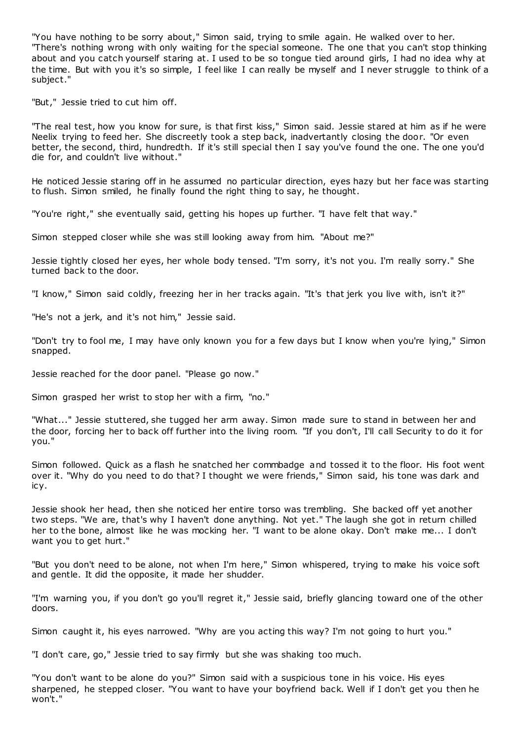"You have nothing to be sorry about," Simon said, trying to smile again. He walked over to her. "There's nothing wrong with only waiting for the special someone. The one that you can't stop thinking about and you catch yourself staring at. I used to be so tongue tied around girls, I had no idea why at the time. But with you it's so simple, I feel like I can really be myself and I never struggle to think of a subject."

"But," Jessie tried to cut him off.

"The real test, how you know for sure, is that first kiss," Simon said. Jessie stared at him as if he were Neelix trying to feed her. She discreetly took a step back, inadvertantly closing the door. "Or even better, the second, third, hundredth. If it's still special then I say you've found the one. The one you'd die for, and couldn't live without."

He noticed Jessie staring off in he assumed no particular direction, eyes hazy but her face was starting to flush. Simon smiled, he finally found the right thing to say, he thought.

"You're right," she eventually said, getting his hopes up further. "I have felt that way."

Simon stepped closer while she was still looking away from him. "About me?"

Jessie tightly closed her eyes, her whole body tensed. "I'm sorry, it's not you. I'm really sorry." She turned back to the door.

"I know," Simon said coldly, freezing her in her tracks again. "It's that jerk you live with, isn't it?"

"He's not a jerk, and it's not him," Jessie said.

"Don't try to fool me, I may have only known you for a few days but I know when you're lying," Simon snapped.

Jessie reached for the door panel. "Please go now."

Simon grasped her wrist to stop her with a firm, "no."

"What..." Jessie stuttered, she tugged her arm away. Simon made sure to stand in between her and the door, forcing her to back off further into the living room. "If you don't, I'll call Security to do it for you."

Simon followed. Quick as a flash he snatched her commbadge and tossed it to the floor. His foot went over it. "Why do you need to do that? I thought we were friends," Simon said, his tone was dark and icy.

Jessie shook her head, then she noticed her entire torso was trembling. She backed off yet another two steps. "We are, that's why I haven't done anything. Not yet." The laugh she got in return chilled her to the bone, almost like he was mocking her. "I want to be alone okay. Don't make me... I don't want you to get hurt."

"But you don't need to be alone, not when I'm here," Simon whispered, trying to make his voice soft and gentle. It did the opposite, it made her shudder.

"I'm warning you, if you don't go you'll regret it," Jessie said, briefly glancing toward one of the other doors.

Simon caught it, his eyes narrowed. "Why are you acting this way? I'm not going to hurt you."

"I don't care, go," Jessie tried to say firmly but she was shaking too much.

"You don't want to be alone do you?" Simon said with a suspicious tone in his voice. His eyes sharpened, he stepped closer. "You want to have your boyfriend back. Well if I don't get you then he won't."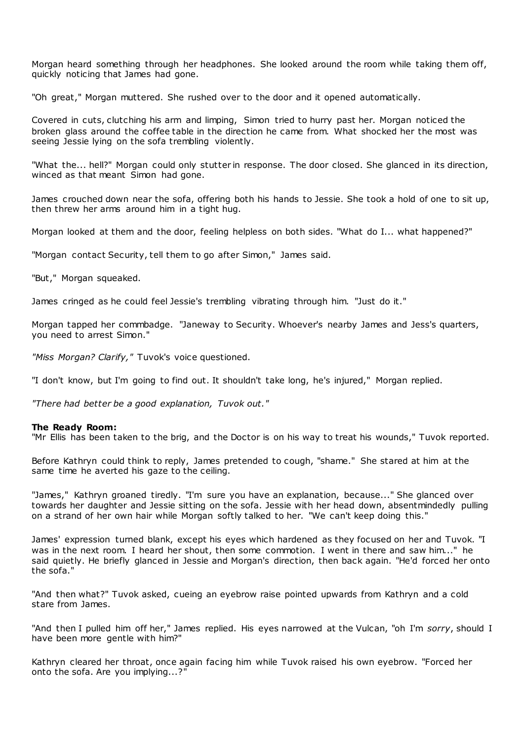Morgan heard something through her headphones. She looked around the room while taking them off, quickly noticing that James had gone.

"Oh great," Morgan muttered. She rushed over to the door and it opened automatically.

Covered in cuts, clutching his arm and limping, Simon tried to hurry past her. Morgan noticed the broken glass around the coffee table in the direction he came from. What shocked her the most was seeing Jessie lying on the sofa trembling violently.

"What the... hell?" Morgan could only stutter in response. The door closed. She glanced in its direction, winced as that meant Simon had gone.

James crouched down near the sofa, offering both his hands to Jessie. She took a hold of one to sit up, then threw her arms around him in a tight hug.

Morgan looked at them and the door, feeling helpless on both sides. "What do I... what happened?"

"Morgan contact Security, tell them to go after Simon," James said.

"But," Morgan squeaked.

James cringed as he could feel Jessie's trembling vibrating through him. "Just do it."

Morgan tapped her commbadge. "Janeway to Security. Whoever's nearby James and Jess's quarters, you need to arrest Simon."

*"Miss Morgan? Clarify,"* Tuvok's voice questioned.

"I don't know, but I'm going to find out. It shouldn't take long, he's injured," Morgan replied.

*"There had better be a good explanation, Tuvok out."*

## **The Ready Room:**

"Mr Ellis has been taken to the brig, and the Doctor is on his way to treat his wounds," Tuvok reported.

Before Kathryn could think to reply, James pretended to cough, "shame." She stared at him at the same time he averted his gaze to the ceiling.

"James," Kathryn groaned tiredly. "I'm sure you have an explanation, because..." She glanced over towards her daughter and Jessie sitting on the sofa. Jessie with her head down, absentmindedly pulling on a strand of her own hair while Morgan softly talked to her. "We can't keep doing this."

James' expression turned blank, except his eyes which hardened as they focused on her and Tuvok. "I was in the next room. I heard her shout, then some commotion. I went in there and saw him..." he said quietly. He briefly glanced in Jessie and Morgan's direction, then back again. "He'd forced her onto the sofa."

"And then what?" Tuvok asked, cueing an eyebrow raise pointed upwards from Kathryn and a cold stare from James.

"And then I pulled him off her," James replied. His eyes narrowed at the Vulcan, "oh I'm *sorry*, should I have been more gentle with him?"

Kathryn cleared her throat, once again facing him while Tuvok raised his own eyebrow. "Forced her onto the sofa. Are you implying...?"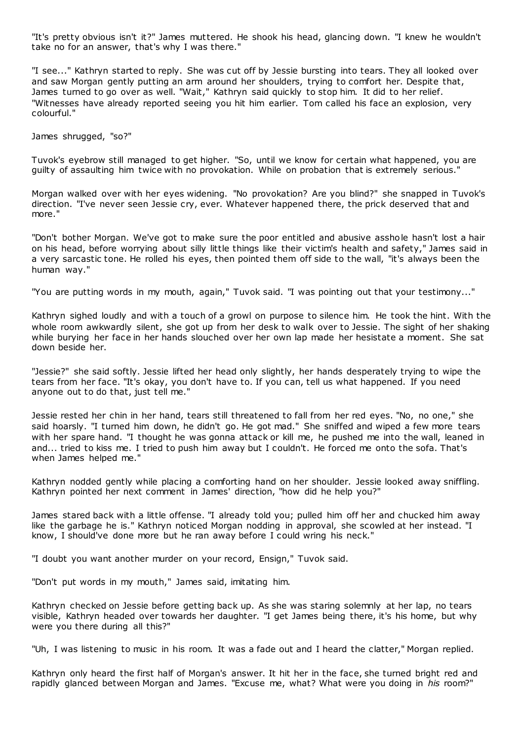"It's pretty obvious isn't it?" James muttered. He shook his head, glancing down. "I knew he wouldn't take no for an answer, that's why I was there."

"I see..." Kathryn started to reply. She was cut off by Jessie bursting into tears. They all looked over and saw Morgan gently putting an arm around her shoulders, trying to comfort her. Despite that, James turned to go over as well. "Wait," Kathryn said quickly to stop him. It did to her relief. "Witnesses have already reported seeing you hit him earlier. Tom called his face an explosion, very colourful."

James shrugged, "so?"

Tuvok's eyebrow still managed to get higher. "So, until we know for certain what happened, you are guilty of assaulting him twice with no provokation. While on probation that is extremely serious."

Morgan walked over with her eyes widening. "No provokation? Are you blind?" she snapped in Tuvok's direction. "I've never seen Jessie cry, ever. Whatever happened there, the prick deserved that and more."

"Don't bother Morgan. We've got to make sure the poor entitled and abusive asshole hasn't lost a hair on his head, before worrying about silly little things like their victim's health and safety," James said in a very sarcastic tone. He rolled his eyes, then pointed them off side to the wall, "it's always been the human way."

"You are putting words in my mouth, again," Tuvok said. "I was pointing out that your testimony..."

Kathryn sighed loudly and with a touch of a growl on purpose to silence him. He took the hint. With the whole room awkwardly silent, she got up from her desk to walk over to Jessie. The sight of her shaking while burying her face in her hands slouched over her own lap made her hesistate a moment. She sat down beside her.

"Jessie?" she said softly. Jessie lifted her head only slightly, her hands desperately trying to wipe the tears from her face. "It's okay, you don't have to. If you can, tell us what happened. If you need anyone out to do that, just tell me."

Jessie rested her chin in her hand, tears still threatened to fall from her red eyes. "No, no one," she said hoarsly. "I turned him down, he didn't go. He got mad." She sniffed and wiped a few more tears with her spare hand. "I thought he was gonna attack or kill me, he pushed me into the wall, leaned in and... tried to kiss me. I tried to push him away but I couldn't. He forced me onto the sofa. That's when James helped me."

Kathryn nodded gently while placing a comforting hand on her shoulder. Jessie looked away sniffling. Kathryn pointed her next comment in James' direction, "how did he help you?"

James stared back with a little offense. "I already told you; pulled him off her and chucked him away like the garbage he is." Kathryn noticed Morgan nodding in approval, she scowled at her instead. "I know, I should've done more but he ran away before I could wring his neck."

"I doubt you want another murder on your record, Ensign," Tuvok said.

"Don't put words in my mouth," James said, imitating him.

Kathryn checked on Jessie before getting back up. As she was staring solemnly at her lap, no tears visible, Kathryn headed over towards her daughter. "I get James being there, it's his home, but why were you there during all this?"

"Uh, I was listening to music in his room. It was a fade out and I heard the clatter," Morgan replied.

Kathryn only heard the first half of Morgan's answer. It hit her in the face, she turned bright red and rapidly glanced between Morgan and James. "Excuse me, what? What were you doing in *his* room?"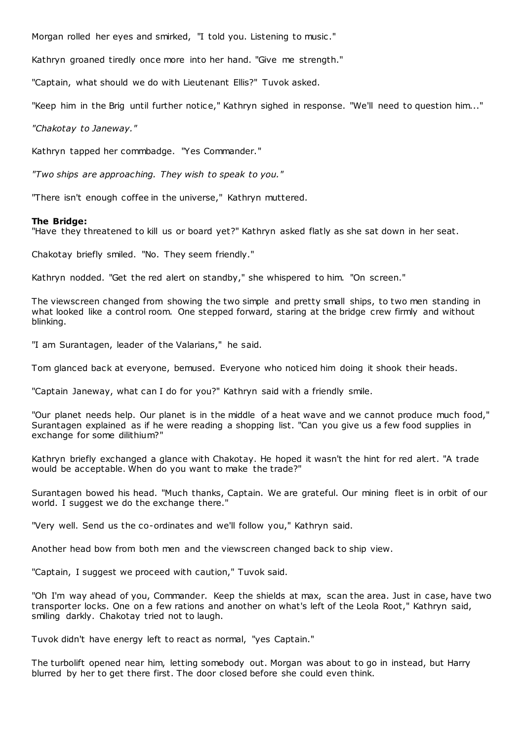Morgan rolled her eyes and smirked, "I told you. Listening to music ."

Kathryn groaned tiredly once more into her hand. "Give me strength."

"Captain, what should we do with Lieutenant Ellis?" Tuvok asked.

"Keep him in the Brig until further notice," Kathryn sighed in response. "We'll need to question him..."

*"Chakotay to Janeway."*

Kathryn tapped her commbadge. "Yes Commander."

*"Two ships are approaching. They wish to speak to you."*

"There isn't enough coffee in the universe," Kathryn muttered.

#### **The Bridge:**

"Have they threatened to kill us or board yet?" Kathryn asked flatly as she sat down in her seat.

Chakotay briefly smiled. "No. They seem friendly."

Kathryn nodded. "Get the red alert on standby," she whispered to him. "On screen."

The viewscreen changed from showing the two simple and pretty small ships, to two men standing in what looked like a control room. One stepped forward, staring at the bridge crew firmly and without blinking.

"I am Surantagen, leader of the Valarians," he said.

Tom glanced back at everyone, bemused. Everyone who noticed him doing it shook their heads.

"Captain Janeway, what can I do for you?" Kathryn said with a friendly smile.

"Our planet needs help. Our planet is in the middle of a heat wave and we cannot produce much food," Surantagen explained as if he were reading a shopping list. "Can you give us a few food supplies in exchange for some dilithium?"

Kathryn briefly exchanged a glance with Chakotay. He hoped it wasn't the hint for red alert. "A trade would be acceptable. When do you want to make the trade?"

Surantagen bowed his head. "Much thanks, Captain. We are grateful. Our mining fleet is in orbit of our world. I suggest we do the exchange there."

"Very well. Send us the co-ordinates and we'll follow you," Kathryn said.

Another head bow from both men and the viewscreen changed back to ship view.

"Captain, I suggest we proceed with caution," Tuvok said.

"Oh I'm way ahead of you, Commander. Keep the shields at max, scan the area. Just in case, have two transporter locks. One on a few rations and another on what's left of the Leola Root," Kathryn said, smiling darkly. Chakotay tried not to laugh.

Tuvok didn't have energy left to react as normal, "yes Captain."

The turbolift opened near him, letting somebody out. Morgan was about to go in instead, but Harry blurred by her to get there first. The door closed before she could even think.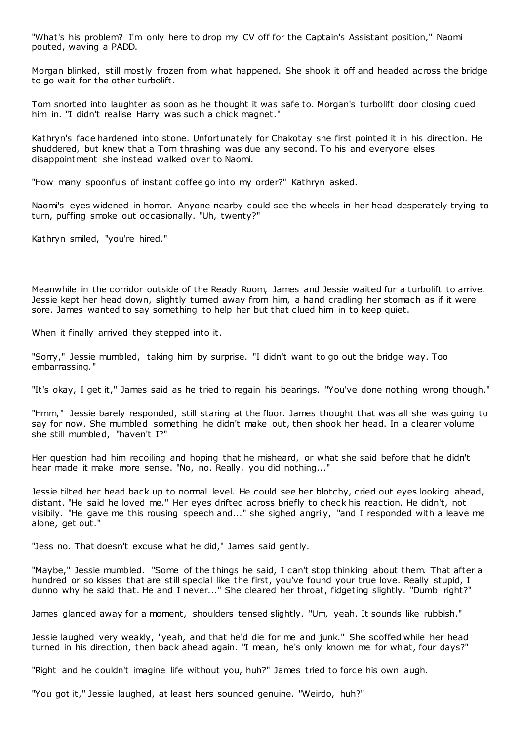"What's his problem? I'm only here to drop my CV off for the Captain's Assistant position," Naomi pouted, waving a PADD.

Morgan blinked, still mostly frozen from what happened. She shook it off and headed across the bridge to go wait for the other turbolift.

Tom snorted into laughter as soon as he thought it was safe to. Morgan's turbolift door closing cued him in. "I didn't realise Harry was such a chick magnet."

Kathryn's face hardened into stone. Unfortunately for Chakotay she first pointed it in his direction. He shuddered, but knew that a Tom thrashing was due any second. To his and everyone elses disappointment she instead walked over to Naomi.

"How many spoonfuls of instant coffee go into my order?" Kathryn asked.

Naomi's eyes widened in horror. Anyone nearby could see the wheels in her head desperately trying to turn, puffing smoke out occasionally. "Uh, twenty?"

Kathryn smiled, "you're hired."

Meanwhile in the corridor outside of the Ready Room, James and Jessie waited for a turbolift to arrive. Jessie kept her head down, slightly turned away from him, a hand cradling her stomach as if it were sore. James wanted to say something to help her but that clued him in to keep quiet.

When it finally arrived they stepped into it.

"Sorry," Jessie mumbled, taking him by surprise. "I didn't want to go out the bridge way. Too embarrassing."

"It's okay, I get it," James said as he tried to regain his bearings. "You've done nothing wrong though."

"Hmm," Jessie barely responded, still staring at the floor. James thought that was all she was going to say for now. She mumbled something he didn't make out, then shook her head. In a clearer volume she still mumbled, "haven't I?"

Her question had him recoiling and hoping that he misheard, or what she said before that he didn't hear made it make more sense. "No, no. Really, you did nothing..."

Jessie tilted her head back up to normal level. He could see her blotchy, cried out eyes looking ahead, distant. "He said he loved me." Her eyes drifted across briefly to check his reaction. He didn't, not visibily. "He gave me this rousing speech and..." she sighed angrily, "and I responded with a leave me alone, get out."

"Jess no. That doesn't excuse what he did," James said gently.

"Maybe," Jessie mumbled. "Some of the things he said, I can't stop thinking about them. That after a hundred or so kisses that are still special like the first, you've found your true love. Really stupid, I dunno why he said that. He and I never..." She cleared her throat, fidgeting slightly. "Dumb right?"

James glanced away for a moment, shoulders tensed slightly. "Um, yeah. It sounds like rubbish."

Jessie laughed very weakly, "yeah, and that he'd die for me and junk." She scoffed while her head turned in his direction, then back ahead again. "I mean, he's only known me for what, four days?"

"Right and he couldn't imagine life without you, huh?" James tried to force his own laugh.

"You got it," Jessie laughed, at least hers sounded genuine. "Weirdo, huh?"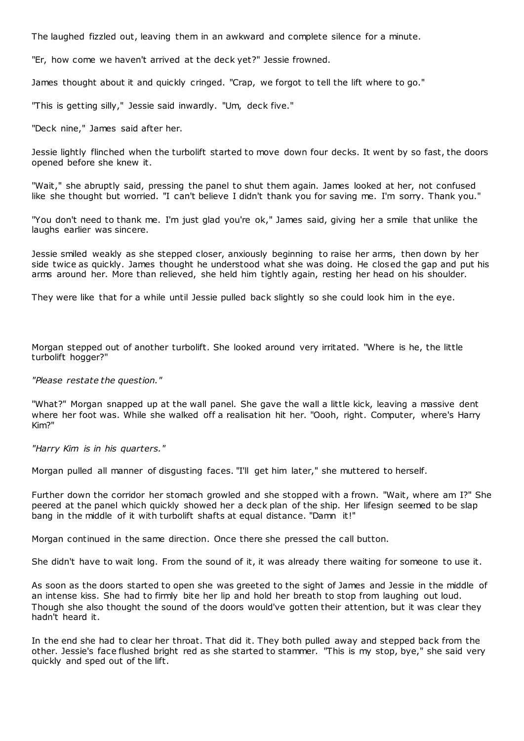The laughed fizzled out, leaving them in an awkward and complete silence for a minute.

"Er, how come we haven't arrived at the deck yet?" Jessie frowned.

James thought about it and quickly cringed. "Crap, we forgot to tell the lift where to go."

"This is getting silly," Jessie said inwardly. "Um, deck five."

"Deck nine," James said after her.

Jessie lightly flinched when the turbolift started to move down four decks. It went by so fast, the doors opened before she knew it.

"Wait," she abruptly said, pressing the panel to shut them again. James looked at her, not confused like she thought but worried. "I can't believe I didn't thank you for saving me. I'm sorry. Thank you."

"You don't need to thank me. I'm just glad you're ok," James said, giving her a smile that unlike the laughs earlier was sincere.

Jessie smiled weakly as she stepped closer, anxiously beginning to raise her arms, then down by her side twice as quickly. James thought he understood what she was doing. He closed the gap and put his arms around her. More than relieved, she held him tightly again, resting her head on his shoulder.

They were like that for a while until Jessie pulled back slightly so she could look him in the eye.

Morgan stepped out of another turbolift. She looked around very irritated. "Where is he, the little turbolift hogger?"

*"Please restate the question."*

"What?" Morgan snapped up at the wall panel. She gave the wall a little kick, leaving a massive dent where her foot was. While she walked off a realisation hit her. "Oooh, right. Computer, where's Harry Kim?"

*"Harry Kim is in his quarters."*

Morgan pulled all manner of disgusting faces. "I'll get him later," she muttered to herself.

Further down the corridor her stomach growled and she stopped with a frown. "Wait, where am I?" She peered at the panel which quickly showed her a deck plan of the ship. Her lifesign seemed to be slap bang in the middle of it with turbolift shafts at equal distance. "Damn it!"

Morgan continued in the same direction. Once there she pressed the call button.

She didn't have to wait long. From the sound of it, it was already there waiting for someone to use it.

As soon as the doors started to open she was greeted to the sight of James and Jessie in the middle of an intense kiss. She had to firmly bite her lip and hold her breath to stop from laughing out loud. Though she also thought the sound of the doors would've gotten their attention, but it was clear they hadn't heard it.

In the end she had to clear her throat. That did it. They both pulled away and stepped back from the other. Jessie's face flushed bright red as she started to stammer. "This is my stop, bye," she said very quickly and sped out of the lift.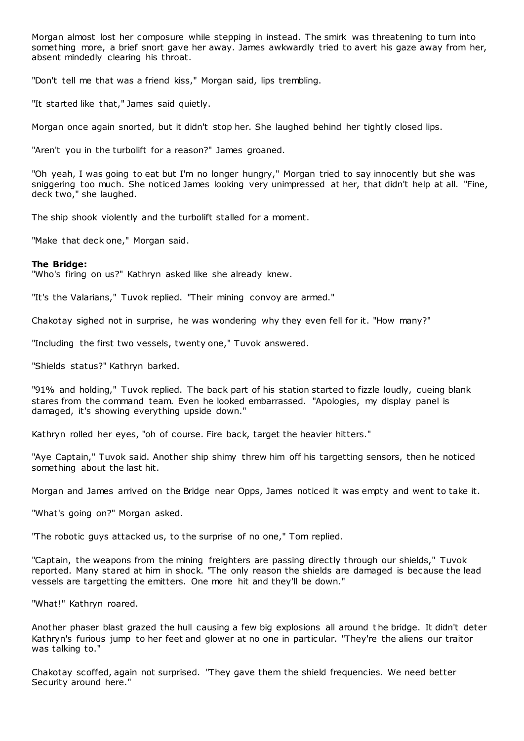Morgan almost lost her composure while stepping in instead. The smirk was threatening to turn into something more, a brief snort gave her away. James awkwardly tried to avert his gaze away from her, absent mindedly clearing his throat.

"Don't tell me that was a friend kiss," Morgan said, lips trembling.

"It started like that," James said quietly.

Morgan once again snorted, but it didn't stop her. She laughed behind her tightly closed lips.

"Aren't you in the turbolift for a reason?" James groaned.

"Oh yeah, I was going to eat but I'm no longer hungry," Morgan tried to say innocently but she was sniggering too much. She noticed James looking very unimpressed at her, that didn't help at all. "Fine, deck two," she laughed.

The ship shook violently and the turbolift stalled for a moment.

"Make that deck one," Morgan said.

## **The Bridge:**

"Who's firing on us?" Kathryn asked like she already knew.

"It's the Valarians," Tuvok replied. "Their mining convoy are armed."

Chakotay sighed not in surprise, he was wondering why they even fell for it. "How many?"

"Including the first two vessels, twenty one," Tuvok answered.

"Shields status?" Kathryn barked.

"91% and holding," Tuvok replied. The back part of his station started to fizzle loudly, cueing blank stares from the command team. Even he looked embarrassed. "Apologies, my display panel is damaged, it's showing everything upside down."

Kathryn rolled her eyes, "oh of course. Fire back, target the heavier hitters."

"Aye Captain," Tuvok said. Another ship shimy threw him off his targetting sensors, then he noticed something about the last hit.

Morgan and James arrived on the Bridge near Opps, James noticed it was empty and went to take it.

"What's going on?" Morgan asked.

"The robotic guys attacked us, to the surprise of no one," Tom replied.

"Captain, the weapons from the mining freighters are passing directly through our shields," Tuvok reported. Many stared at him in shock. "The only reason the shields are damaged is because the lead vessels are targetting the emitters. One more hit and they'll be down."

"What!" Kathryn roared.

Another phaser blast grazed the hull causing a few big explosions all around t he bridge. It didn't deter Kathryn's furious jump to her feet and glower at no one in particular. "They're the aliens our traitor was talking to."

Chakotay scoffed, again not surprised. "They gave them the shield frequencies. We need better Security around here."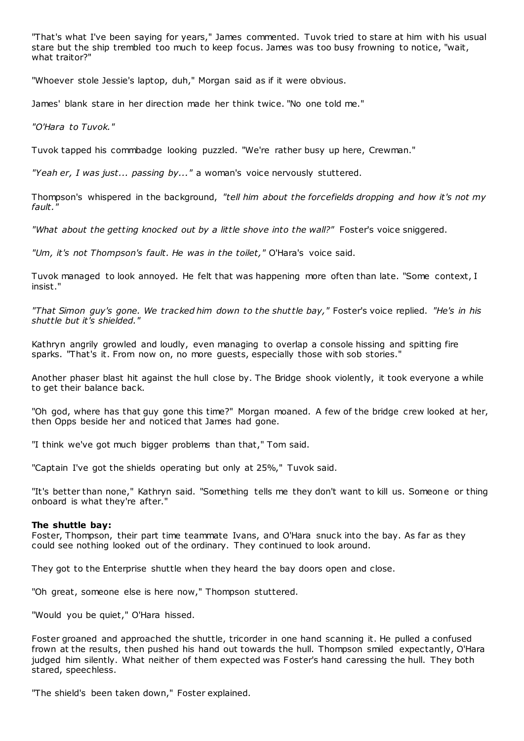"That's what I've been saying for years," James commented. Tuvok tried to stare at him with his usual stare but the ship trembled too much to keep focus. James was too busy frowning to notice, "wait, what traitor?"

"Whoever stole Jessie's laptop, duh," Morgan said as if it were obvious.

James' blank stare in her direction made her think twice. "No one told me."

*"O'Hara to Tuvok."*

Tuvok tapped his commbadge looking puzzled. "We're rather busy up here, Crewman."

*"Yeah er, I was just... passing by..."* a woman's voice nervously stuttered.

Thompson's whispered in the background, *"tell him about the forcefields dropping and how it's not my fault."*

*"What about the getting knocked out by a little shove into the wall?"* Foster's voice sniggered.

*"Um, it's not Thompson's fault. He was in the toilet,"* O'Hara's voice said.

Tuvok managed to look annoyed. He felt that was happening more often than late. "Some context, I insist."

*"That Simon guy's gone. We tracked him down to the shuttle bay,"* Foster's voice replied. *"He's in his shuttle but it's shielded."*

Kathryn angrily growled and loudly, even managing to overlap a console hissing and spitting fire sparks. "That's it. From now on, no more guests, especially those with sob stories."

Another phaser blast hit against the hull close by. The Bridge shook violently, it took everyone a while to get their balance back.

"Oh god, where has that guy gone this time?" Morgan moaned. A few of the bridge crew looked at her, then Opps beside her and noticed that James had gone.

"I think we've got much bigger problems than that," Tom said.

"Captain I've got the shields operating but only at 25%," Tuvok said.

"It's better than none," Kathryn said. "Something tells me they don't want to kill us. Someone or thing onboard is what they're after."

## **The shuttle bay:**

Foster, Thompson, their part time teammate Ivans, and O'Hara snuck into the bay. As far as they could see nothing looked out of the ordinary. They continued to look around.

They got to the Enterprise shuttle when they heard the bay doors open and close.

"Oh great, someone else is here now," Thompson stuttered.

"Would you be quiet," O'Hara hissed.

Foster groaned and approached the shuttle, tricorder in one hand scanning it. He pulled a confused frown at the results, then pushed his hand out towards the hull. Thompson smiled expectantly, O'Hara judged him silently. What neither of them expected was Foster's hand caressing the hull. They both stared, speechless.

"The shield's been taken down," Foster explained.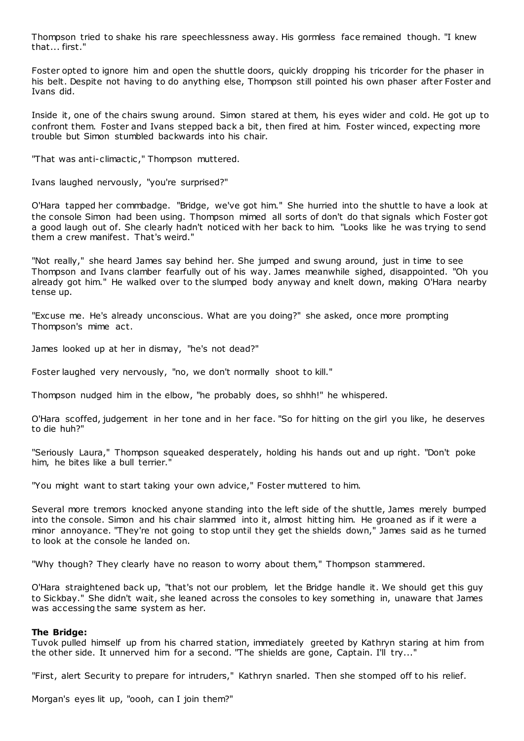Thompson tried to shake his rare speechlessness away. His gormless face remained though. "I knew that... first."

Foster opted to ignore him and open the shuttle doors, quickly dropping his tricorder for the phaser in his belt. Despite not having to do anything else, Thompson still pointed his own phaser after Foster and Ivans did.

Inside it, one of the chairs swung around. Simon stared at them, his eyes wider and cold. He got up to confront them. Foster and Ivans stepped back a bit, then fired at him. Foster winced, expecting more trouble but Simon stumbled backwards into his chair.

"That was anti-climactic ," Thompson muttered.

Ivans laughed nervously, "you're surprised?"

O'Hara tapped her commbadge. "Bridge, we've got him." She hurried into the shuttle to have a look at the console Simon had been using. Thompson mimed all sorts of don't do that signals which Foster got a good laugh out of. She clearly hadn't noticed with her back to him. "Looks like he was trying to send them a crew manifest. That's weird."

"Not really," she heard James say behind her. She jumped and swung around, just in time to see Thompson and Ivans clamber fearfully out of his way. James meanwhile sighed, disappointed. "Oh you already got him." He walked over to the slumped body anyway and knelt down, making O'Hara nearby tense up.

"Excuse me. He's already unconscious. What are you doing?" she asked, once more prompting Thompson's mime act.

James looked up at her in dismay, "he's not dead?"

Foster laughed very nervously, "no, we don't normally shoot to kill."

Thompson nudged him in the elbow, "he probably does, so shhh!" he whispered.

O'Hara scoffed, judgement in her tone and in her face. "So for hitting on the girl you like, he deserves to die huh?"

"Seriously Laura," Thompson squeaked desperately, holding his hands out and up right. "Don't poke him, he bites like a bull terrier."

"You might want to start taking your own advice," Foster muttered to him.

Several more tremors knocked anyone standing into the left side of the shuttle, James merely bumped into the console. Simon and his chair slammed into it, almost hitting him. He groaned as if it were a minor annoyance. "They're not going to stop until they get the shields down," James said as he turned to look at the console he landed on.

"Why though? They clearly have no reason to worry about them," Thompson stammered.

O'Hara straightened back up, "that's not our problem, let the Bridge handle it. We should get this guy to Sickbay." She didn't wait, she leaned across the consoles to key something in, unaware that James was accessing the same system as her.

### **The Bridge:**

Tuvok pulled himself up from his charred station, immediately greeted by Kathryn staring at him from the other side. It unnerved him for a second. "The shields are gone, Captain. I'll try..."

"First, alert Security to prepare for intruders," Kathryn snarled. Then she stomped off to his relief.

Morgan's eyes lit up, "oooh, can I join them?"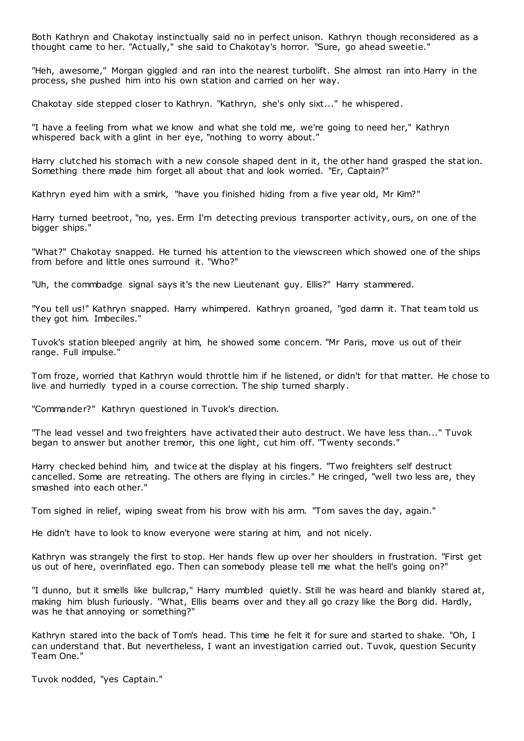Both Kathryn and Chakotay instinctually said no in perfect unison. Kathryn though reconsidered as a thought came to her. "Actually," she said to Chakotay's horror. "Sure, go ahead sweetie."

"Heh, awesome," Morgan giggled and ran into the nearest turbolift. She almost ran into Harry in the process, she pushed him into his own station and carried on her way.

Chakotay side stepped closer to Kathryn. "Kathryn, she's only sixt..." he whispered.

"I have a feeling from what we know and what she told me, we're going to need her," Kathryn whispered back with a glint in her eye, "nothing to worry about."

Harry clutched his stomach with a new console shaped dent in it, the other hand grasped the station. Something there made him forget all about that and look worried. "Er, Captain?"

Kathryn eyed him with a smirk, "have you finished hiding from a five year old, Mr Kim?"

Harry turned beetroot, "no, yes. Erm I'm detecting previous transporter activity, ours, on one of the bigger ships."

"What?" Chakotay snapped. He turned his attention to the viewscreen which showed one of the ships from before and little ones surround it. "Who?"

"Uh, the commbadge signal says it's the new Lieutenant guy. Ellis?" Harry stammered.

"You tell us!" Kathryn snapped. Harry whimpered. Kathryn groaned, "god damn it. That team told us they got him. Imbeciles."

Tuvok's station bleeped angrily at him, he showed some concern. "Mr Paris, move us out of their range. Full impulse."

Tom froze, worried that Kathryn would throttle him if he listened, or didn't for that matter. He chose to live and hurriedly typed in a course correction. The ship turned sharply.

"Commander?" Kathryn questioned in Tuvok's direction.

"The lead vessel and two freighters have activated their auto destruct. We have less than..." Tuvok began to answer but another tremor, this one light, cut him off. "Twenty seconds."

Harry checked behind him, and twice at the display at his fingers. "Two freighters self destruct cancelled. Some are retreating. The others are flying in circles." He cringed, "well two less are, they smashed into each other."

Tom sighed in relief, wiping sweat from his brow with his arm. "Tom saves the day, again."

He didn't have to look to know everyone were staring at him, and not nicely.

Kathryn was strangely the first to stop. Her hands flew up over her shoulders in frustration. "First get us out of here, overinflated ego. Then can somebody please tell me what the hell's going on?"

"I dunno, but it smells like bullcrap," Harry mumbled quietly. Still he was heard and blankly stared at, making him blush furiously. "What, Ellis beams over and they all go crazy like the Borg did. Hardly, was he that annoying or something?"

Kathryn stared into the back of Tom's head. This time he felt it for sure and started to shake. "Oh, I can understand that. But nevertheless, I want an investigation carried out. Tuvok, question Security Team One."

Tuvok nodded, "yes Captain."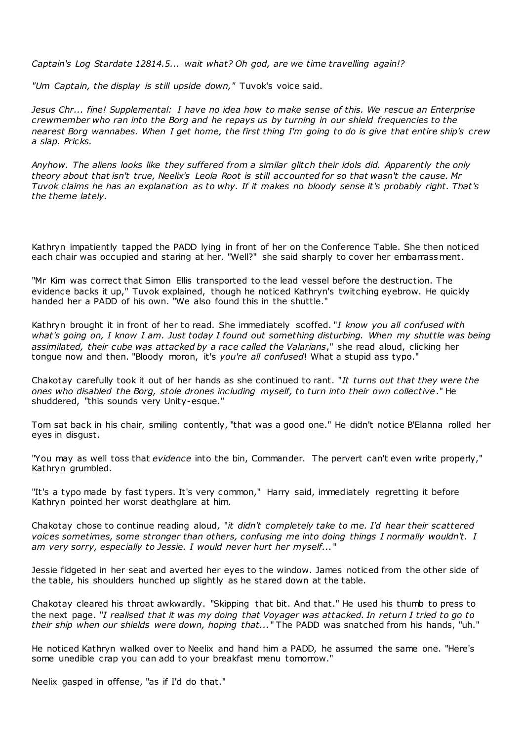*Captain's Log Stardate 12814.5... wait what? Oh god, are we time travelling again!?*

*"Um Captain, the display is still upside down,"* Tuvok's voice said.

*Jesus Chr... fine! Supplemental: I have no idea how to make sense of this. We rescue an Enterprise crewmember who ran into the Borg and he repays us by turning in our shield frequencies to the nearest Borg wannabes. When I get home, the first thing I'm going to do is give that entire ship's crew a slap. Pricks.*

*Anyhow. The aliens looks like they suffered from a similar glitch their idols did. Apparently the only theory about that isn't true, Neelix's Leola Root is still accounted for so that wasn't the cause. Mr Tuvok claims he has an explanation as to why. If it makes no bloody sense it's probably right. That's the theme lately.*

Kathryn impatiently tapped the PADD lying in front of her on the Conference Table. She then noticed each chair was occupied and staring at her. "Well?" she said sharply to cover her embarrassment.

"Mr Kim was correct that Simon Ellis transported to the lead vessel before the destruction. The evidence backs it up," Tuvok explained, though he noticed Kathryn's twitching eyebrow. He quickly handed her a PADD of his own. "We also found this in the shuttle."

Kathryn brought it in front of her to read. She immediately scoffed. "*I know you all confused with what's going on, I know I am. Just today I found out something disturbing. When my shuttle was being assimilated, their cube was attacked by a race called the Valarians*," she read aloud, clicking her tongue now and then. "Bloody moron, it's *you're all confused*! What a stupid ass typo."

Chakotay carefully took it out of her hands as she continued to rant. "*It turns out that they were the ones who disabled the Borg, stole drones including myself, to turn into their own collective*." He shuddered, "this sounds very Unity-esque."

Tom sat back in his chair, smiling contently, "that was a good one." He didn't notice B'Elanna rolled her eyes in disgust.

"You may as well toss that *evidence* into the bin, Commander. The pervert can't even write properly," Kathryn grumbled.

"It's a typo made by fast typers. It's very common," Harry said, immediately regretting it before Kathryn pointed her worst deathglare at him.

Chakotay chose to continue reading aloud, "*it didn't completely take to me. I'd hear their scattered voices sometimes, some stronger than others, confusing me into doing things I normally wouldn't. I am very sorry, especially to Jessie. I would never hurt her myself...* "

Jessie fidgeted in her seat and averted her eyes to the window. James noticed from the other side of the table, his shoulders hunched up slightly as he stared down at the table.

Chakotay cleared his throat awkwardly. "Skipping that bit. And that." He used his thumb to press to the next page. "*I realised that it was my doing that Voyager was attacked. In return I tried to go to their ship when our shields were down, hoping that...*" The PADD was snatched from his hands, "uh."

He noticed Kathryn walked over to Neelix and hand him a PADD, he assumed the same one. "Here's some unedible crap you can add to your breakfast menu tomorrow."

Neelix gasped in offense, "as if I'd do that."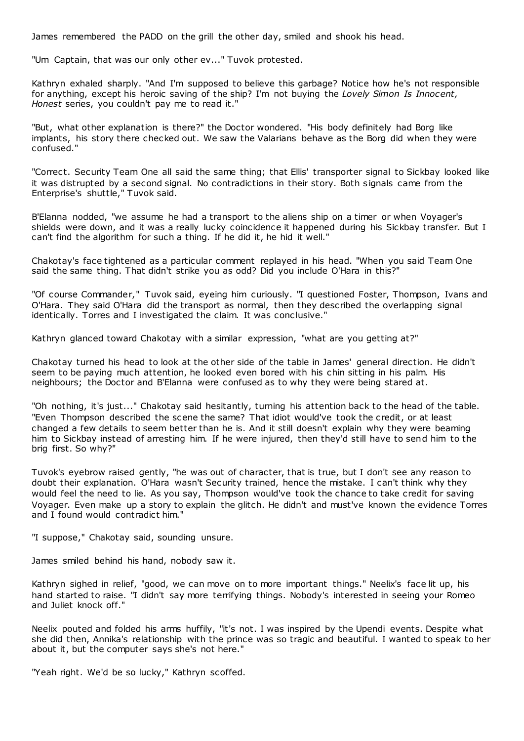James remembered the PADD on the grill the other day, smiled and shook his head.

"Um Captain, that was our only other ev..." Tuvok protested.

Kathryn exhaled sharply. "And I'm supposed to believe this garbage? Notice how he's not responsible for anything, except his heroic saving of the ship? I'm not buying the *Lovely Simon Is Innocent, Honest* series, you couldn't pay me to read it."

"But, what other explanation is there?" the Doctor wondered. "His body definitely had Borg like implants, his story there checked out. We saw the Valarians behave as the Borg did when they were confused."

"Correct. Security Team One all said the same thing; that Ellis' transporter signal to Sickbay looked like it was distrupted by a second signal. No contradictions in their story. Both signals came from the Enterprise's shuttle," Tuvok said.

B'Elanna nodded, "we assume he had a transport to the aliens ship on a timer or when Voyager's shields were down, and it was a really lucky coincidence it happened during his Sickbay transfer. But I can't find the algorithm for such a thing. If he did it, he hid it well."

Chakotay's face tightened as a particular comment replayed in his head. "When you said Team One said the same thing. That didn't strike you as odd? Did you include O'Hara in this?"

"Of course Commander," Tuvok said, eyeing him curiously. "I questioned Foster, Thompson, Ivans and O'Hara. They said O'Hara did the transport as normal, then they described the overlapping signal identically. Torres and I investigated the claim. It was conclusive."

Kathryn glanced toward Chakotay with a similar expression, "what are you getting at?"

Chakotay turned his head to look at the other side of the table in James' general direction. He didn't seem to be paying much attention, he looked even bored with his chin sitting in his palm. His neighbours; the Doctor and B'Elanna were confused as to why they were being stared at.

"Oh nothing, it's just..." Chakotay said hesitantly, turning his attention back to the head of the table. "Even Thompson described the scene the same? That idiot would've took the credit, or at least changed a few details to seem better than he is. And it still doesn't explain why they were beaming him to Sickbay instead of arresting him. If he were injured, then they'd still have to send him to the brig first. So why?"

Tuvok's eyebrow raised gently, "he was out of character, that is true, but I don't see any reason to doubt their explanation. O'Hara wasn't Security trained, hence the mistake. I can't think why they would feel the need to lie. As you say, Thompson would've took the chance to take credit for saving Voyager. Even make up a story to explain the glitch. He didn't and must've known the evidence Torres and I found would contradict him."

"I suppose," Chakotay said, sounding unsure.

James smiled behind his hand, nobody saw it.

Kathryn sighed in relief, "good, we can move on to more important things." Neelix's face lit up, his hand started to raise. "I didn't say more terrifying things. Nobody's interested in seeing your Romeo and Juliet knock off."

Neelix pouted and folded his arms huffily, "it's not. I was inspired by the Upendi events. Despite what she did then, Annika's relationship with the prince was so tragic and beautiful. I wanted to speak to her about it, but the computer says she's not here."

"Yeah right. We'd be so lucky," Kathryn scoffed.